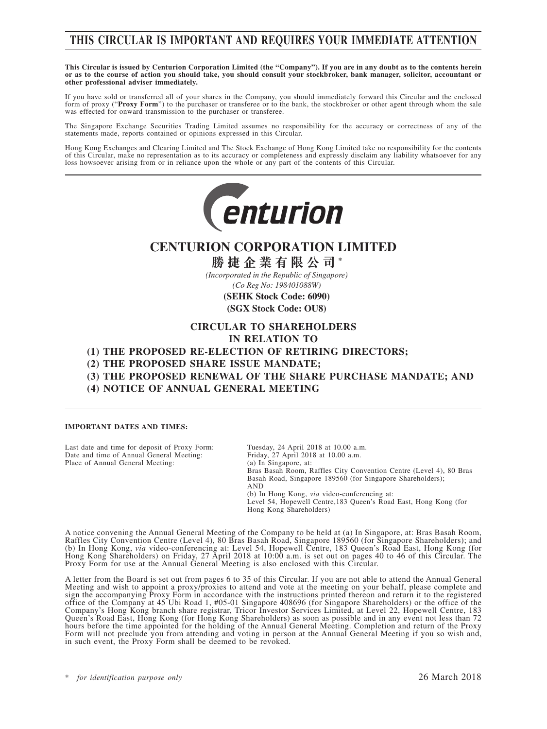### **THIS CIRCULAR IS IMPORTANT AND REQUIRES YOUR IMMEDIATE ATTENTION**

**This Circular is issued by Centurion Corporation Limited (the "Company"). If you are in any doubt as to the contents herein or as to the course of action you should take, you should consult your stockbroker, bank manager, solicitor, accountant or other professional adviser immediately.**

If you have sold or transferred all of your shares in the Company, you should immediately forward this Circular and the enclosed form of proxy ("Proxy Form") to the purchaser or transferee or to the bank, the stockbroker or other agent through whom the sale was effected for onward transmission to the purchaser or transferee.

The Singapore Exchange Securities Trading Limited assumes no responsibility for the accuracy or correctness of any of the statements made, reports contained or opinions expressed in this Circular.

Hong Kong Exchanges and Clearing Limited and The Stock Exchange of Hong Kong Limited take no responsibility for the contents of this Circular, make no representation as to its accuracy or completeness and expressly disclaim any liability whatsoever for any loss howsoever arising from or in reliance upon the whole or any part of the contents of this Circular.



### **CENTURION CORPORATION LIMITED**

**勝捷企業有限公司 \***

*(Incorporated in the Republic of Singapore) (Co Reg No: 198401088W)*

> **(SEHK Stock Code: 6090) (SGX Stock Code: OU8)**

#### **CIRCULAR TO SHAREHOLDERS**

**IN RELATION TO**

**(1) THE PROPOSED RE-ELECTION OF RETIRING DIRECTORS;**

**(2) THE PROPOSED SHARE ISSUE MANDATE;**

- **(3) THE PROPOSED RENEWAL OF THE SHARE PURCHASE MANDATE; AND**
- **(4) NOTICE OF ANNUAL GENERAL MEETING**

#### **IMPORTANT DATES AND TIMES:**

Last date and time for deposit of Proxy Form: Tuesday, 24 April 2018 at 10.00 a.m.<br>Date and time of Annual General Meeting: Friday, 27 April 2018 at 10.00 a.m. Date and time of Annual General Meeting: Friday, 27 April 201<br>Place of Annual General Meeting: (a) In Singapore, at: Place of Annual General Meeting:

Bras Basah Room, Raffles City Convention Centre (Level 4), 80 Bras Basah Road, Singapore 189560 (for Singapore Shareholders); AND (b) In Hong Kong, *via* video-conferencing at: Level 54, Hopewell Centre,183 Queen's Road East, Hong Kong (for Hong Kong Shareholders)

A notice convening the Annual General Meeting of the Company to be held at (a) In Singapore, at: Bras Basah Room, Raffles City Convention Centre (Level 4), 80 Bras Basah Road, Singapore 189560 (for Singapore Shareholders); and (b) In Hong Kong, *via* video-conferencing at: Level 54, Hopewell Centre, 183 Queen's Road East, Hong Kong (for Hong Kong Shareholders) on Friday, 27 April 2018 at 10:00 a.m. is set out on pages 40 to 46 of this Circular. The Proxy Form for use at the Annual General Meeting is also enclosed with this Circular.

A letter from the Board is set out from pages 6 to 35 of this Circular. If you are not able to attend the Annual General Meeting and wish to appoint a proxy/proxies to attend and vote at the meeting on your behalf, please complete and sign the accompanying Proxy Form in accordance with the instructions printed thereon and return it to the registered office of the Company at 45 Ubi Road 1, #05-01 Singapore 408696 (for Singapore Shareholders) or the office of the Company's Hong Kong branch share registrar, Tricor Investor Services Limited, at Level 22, Hopewell Centre, 183 Queen's Road East, Hong Kong (for Hong Kong Shareholders) as soon as possible and in any event not less than 72 hours before the time appointed for the holding of the Annual General Meeting. Completion and return of the Proxy Form will not preclude you from attending and voting in person at the Annual General Meeting if you so wish and, in such event, the Proxy Form shall be deemed to be revoked.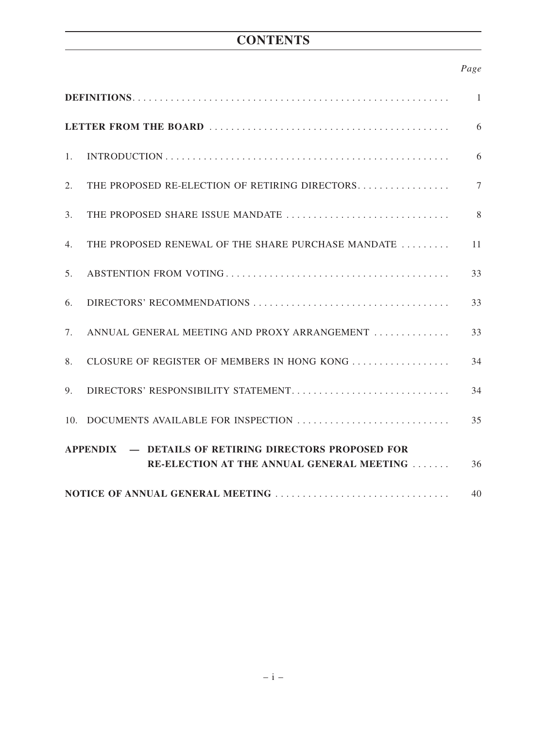# **CONTENTS**

### *Page*

|                  |                                                                                                           | 1              |
|------------------|-----------------------------------------------------------------------------------------------------------|----------------|
|                  |                                                                                                           | 6              |
| 1.               |                                                                                                           | 6              |
| 2.               | THE PROPOSED RE-ELECTION OF RETIRING DIRECTORS                                                            | $\overline{7}$ |
| $\mathfrak{Z}$ . |                                                                                                           | 8              |
| 4.               | THE PROPOSED RENEWAL OF THE SHARE PURCHASE MANDATE                                                        | 11             |
| 5.               |                                                                                                           | 33             |
| 6.               |                                                                                                           | 33             |
| 7.               | ANNUAL GENERAL MEETING AND PROXY ARRANGEMENT                                                              | 33             |
| 8.               | CLOSURE OF REGISTER OF MEMBERS IN HONG KONG                                                               | 34             |
| 9.               | DIRECTORS' RESPONSIBILITY STATEMENT                                                                       | 34             |
| 10.              | DOCUMENTS AVAILABLE FOR INSPECTION                                                                        | 35             |
|                  | <b>APPENDIX – DETAILS OF RETIRING DIRECTORS PROPOSED FOR</b><br>RE-ELECTION AT THE ANNUAL GENERAL MEETING | 36             |
|                  |                                                                                                           | 40             |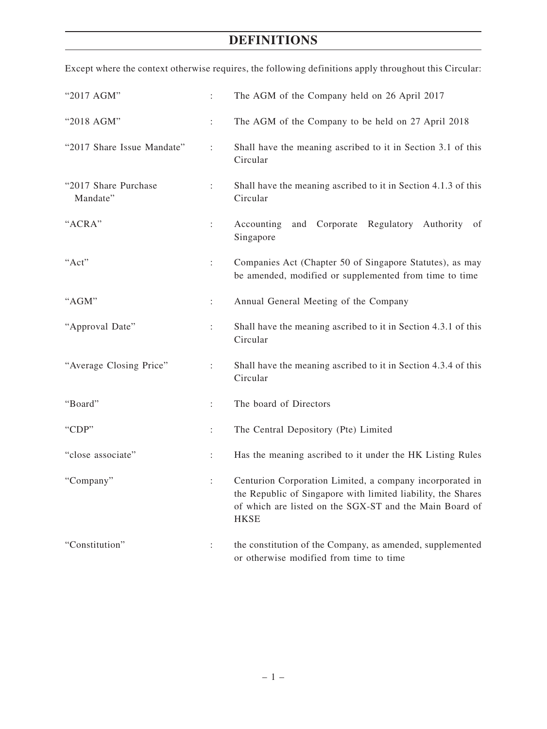| "2017 AGM"                       | ÷                    | The AGM of the Company held on 26 April 2017                                                                                                                                                       |  |  |  |  |
|----------------------------------|----------------------|----------------------------------------------------------------------------------------------------------------------------------------------------------------------------------------------------|--|--|--|--|
| "2018 AGM"                       | $\ddot{\phantom{a}}$ | The AGM of the Company to be held on 27 April 2018                                                                                                                                                 |  |  |  |  |
| "2017 Share Issue Mandate"       | $\ddot{\cdot}$       | Shall have the meaning ascribed to it in Section 3.1 of this<br>Circular                                                                                                                           |  |  |  |  |
| "2017 Share Purchase<br>Mandate" | ÷                    | Shall have the meaning ascribed to it in Section 4.1.3 of this<br>Circular                                                                                                                         |  |  |  |  |
| "ACRA"                           | $\ddot{\phantom{a}}$ | and Corporate Regulatory Authority<br>Accounting<br>of<br>Singapore                                                                                                                                |  |  |  |  |
| "Act"                            | $\ddot{\phantom{a}}$ | Companies Act (Chapter 50 of Singapore Statutes), as may<br>be amended, modified or supplemented from time to time                                                                                 |  |  |  |  |
| "AGM"                            | $\ddot{\cdot}$       | Annual General Meeting of the Company                                                                                                                                                              |  |  |  |  |
| "Approval Date"                  | $\ddot{\phantom{a}}$ | Shall have the meaning ascribed to it in Section 4.3.1 of this<br>Circular                                                                                                                         |  |  |  |  |
| "Average Closing Price"          | $\ddot{\phantom{a}}$ | Shall have the meaning ascribed to it in Section 4.3.4 of this<br>Circular                                                                                                                         |  |  |  |  |
| "Board"                          | $\ddot{\cdot}$       | The board of Directors                                                                                                                                                                             |  |  |  |  |
| "CDP"                            | $\ddot{\phantom{a}}$ | The Central Depository (Pte) Limited                                                                                                                                                               |  |  |  |  |
| "close associate"                | $\ddot{\phantom{a}}$ | Has the meaning ascribed to it under the HK Listing Rules                                                                                                                                          |  |  |  |  |
| "Company"                        | $\ddot{\cdot}$       | Centurion Corporation Limited, a company incorporated in<br>the Republic of Singapore with limited liability, the Shares<br>of which are listed on the SGX-ST and the Main Board of<br><b>HKSE</b> |  |  |  |  |
| "Constitution"                   | ÷                    | the constitution of the Company, as amended, supplemented<br>or otherwise modified from time to time                                                                                               |  |  |  |  |

Except where the context otherwise requires, the following definitions apply throughout this Circular: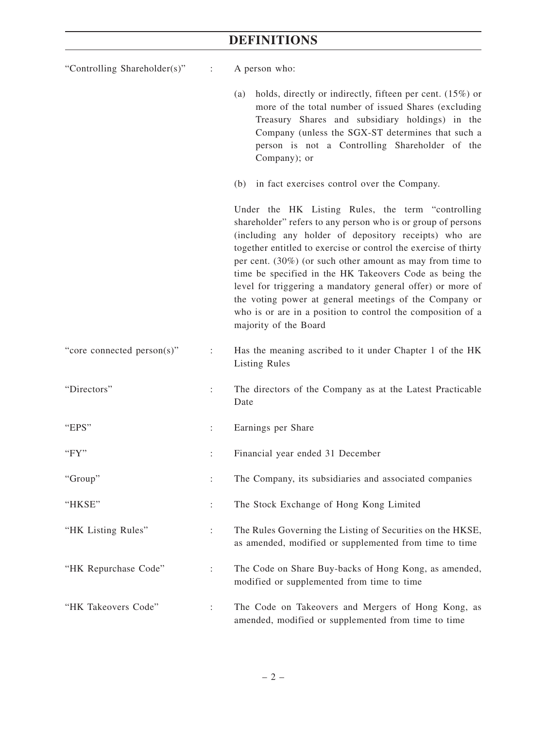| "Controlling Shareholder(s)" $\qquad$ : |                      | A person who:                                                                                                                                                                                                                                                                                                                                                                                                                                                                                                                                                                            |
|-----------------------------------------|----------------------|------------------------------------------------------------------------------------------------------------------------------------------------------------------------------------------------------------------------------------------------------------------------------------------------------------------------------------------------------------------------------------------------------------------------------------------------------------------------------------------------------------------------------------------------------------------------------------------|
|                                         |                      | holds, directly or indirectly, fifteen per cent. $(15%)$ or<br>(a)<br>more of the total number of issued Shares (excluding<br>Treasury Shares and subsidiary holdings) in the<br>Company (unless the SGX-ST determines that such a<br>person is not a Controlling Shareholder of the<br>Company); or                                                                                                                                                                                                                                                                                     |
|                                         |                      | (b) in fact exercises control over the Company.                                                                                                                                                                                                                                                                                                                                                                                                                                                                                                                                          |
|                                         |                      | Under the HK Listing Rules, the term "controlling<br>shareholder" refers to any person who is or group of persons<br>(including any holder of depository receipts) who are<br>together entitled to exercise or control the exercise of thirty<br>per cent. $(30\%)$ (or such other amount as may from time to<br>time be specified in the HK Takeovers Code as being the<br>level for triggering a mandatory general offer) or more of<br>the voting power at general meetings of the Company or<br>who is or are in a position to control the composition of a<br>majority of the Board |
| "core connected person(s)"              | $\ddot{\phantom{a}}$ | Has the meaning ascribed to it under Chapter 1 of the HK<br><b>Listing Rules</b>                                                                                                                                                                                                                                                                                                                                                                                                                                                                                                         |
| "Directors"                             | $\ddot{\cdot}$       | The directors of the Company as at the Latest Practicable<br>Date                                                                                                                                                                                                                                                                                                                                                                                                                                                                                                                        |
| "EPS"                                   | $\ddot{\phantom{a}}$ | Earnings per Share                                                                                                                                                                                                                                                                                                                                                                                                                                                                                                                                                                       |
| "FY"                                    |                      | Financial year ended 31 December                                                                                                                                                                                                                                                                                                                                                                                                                                                                                                                                                         |
| "Group"                                 | $\ddot{\cdot}$       | The Company, its subsidiaries and associated companies                                                                                                                                                                                                                                                                                                                                                                                                                                                                                                                                   |
| "HKSE"                                  |                      | The Stock Exchange of Hong Kong Limited                                                                                                                                                                                                                                                                                                                                                                                                                                                                                                                                                  |
| "HK Listing Rules"                      | ÷                    | The Rules Governing the Listing of Securities on the HKSE,<br>as amended, modified or supplemented from time to time                                                                                                                                                                                                                                                                                                                                                                                                                                                                     |
| "HK Repurchase Code"                    | $\ddot{\cdot}$       | The Code on Share Buy-backs of Hong Kong, as amended,<br>modified or supplemented from time to time                                                                                                                                                                                                                                                                                                                                                                                                                                                                                      |
| "HK Takeovers Code"                     |                      | The Code on Takeovers and Mergers of Hong Kong, as<br>amended, modified or supplemented from time to time                                                                                                                                                                                                                                                                                                                                                                                                                                                                                |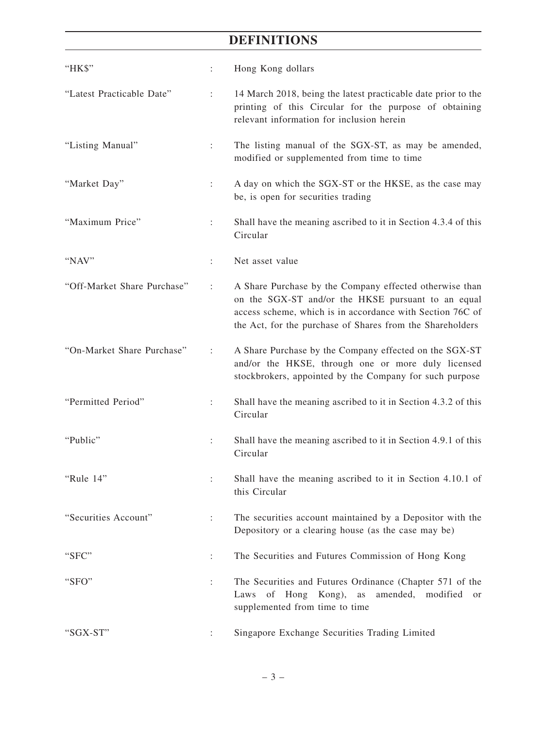| "HK\$"                      | ÷                    | Hong Kong dollars                                                                                                                                                                                                                       |
|-----------------------------|----------------------|-----------------------------------------------------------------------------------------------------------------------------------------------------------------------------------------------------------------------------------------|
| "Latest Practicable Date"   | ÷                    | 14 March 2018, being the latest practicable date prior to the<br>printing of this Circular for the purpose of obtaining<br>relevant information for inclusion herein                                                                    |
| "Listing Manual"            | ÷                    | The listing manual of the SGX-ST, as may be amended,<br>modified or supplemented from time to time                                                                                                                                      |
| "Market Day"                | $\ddot{\phantom{a}}$ | A day on which the SGX-ST or the HKSE, as the case may<br>be, is open for securities trading                                                                                                                                            |
| "Maximum Price"             | $\ddot{\phantom{a}}$ | Shall have the meaning ascribed to it in Section 4.3.4 of this<br>Circular                                                                                                                                                              |
| "NAV"                       |                      | Net asset value                                                                                                                                                                                                                         |
| "Off-Market Share Purchase" | ÷                    | A Share Purchase by the Company effected otherwise than<br>on the SGX-ST and/or the HKSE pursuant to an equal<br>access scheme, which is in accordance with Section 76C of<br>the Act, for the purchase of Shares from the Shareholders |
| "On-Market Share Purchase"  | $\ddot{\phantom{a}}$ | A Share Purchase by the Company effected on the SGX-ST<br>and/or the HKSE, through one or more duly licensed<br>stockbrokers, appointed by the Company for such purpose                                                                 |
| "Permitted Period"          | $\ddot{\cdot}$       | Shall have the meaning ascribed to it in Section 4.3.2 of this<br>Circular                                                                                                                                                              |
| "Public"                    | $\ddot{\cdot}$       | Shall have the meaning ascribed to it in Section 4.9.1 of this<br>Circular                                                                                                                                                              |
| "Rule 14"                   |                      | Shall have the meaning ascribed to it in Section 4.10.1 of<br>this Circular                                                                                                                                                             |
| "Securities Account"        | $\ddot{\phantom{a}}$ | The securities account maintained by a Depositor with the<br>Depository or a clearing house (as the case may be)                                                                                                                        |
| "SFC"                       | ÷                    | The Securities and Futures Commission of Hong Kong                                                                                                                                                                                      |
| "SFO"                       | $\ddot{\phantom{a}}$ | The Securities and Futures Ordinance (Chapter 571 of the<br>Laws of Hong Kong), as<br>amended, modified<br>or<br>supplemented from time to time                                                                                         |
| "SGX-ST"                    |                      | Singapore Exchange Securities Trading Limited                                                                                                                                                                                           |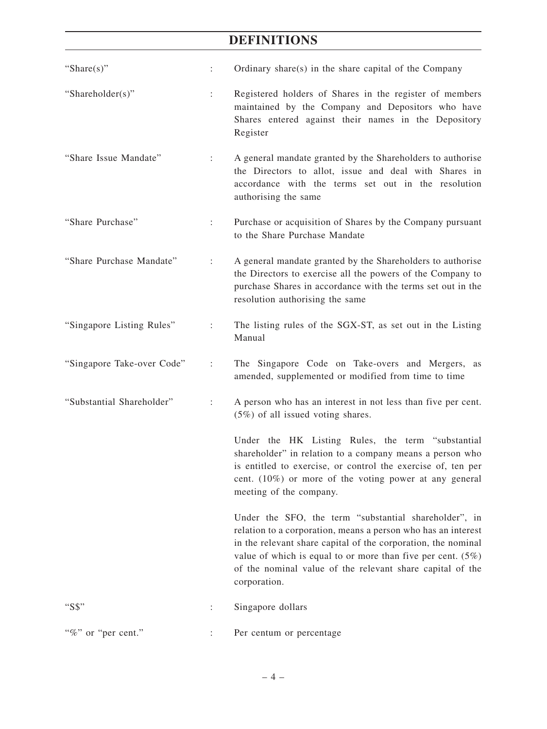| "Share $(s)$ "             | ÷                    | Ordinary share(s) in the share capital of the Company                                                                                                                                                                                                                                                                                  |
|----------------------------|----------------------|----------------------------------------------------------------------------------------------------------------------------------------------------------------------------------------------------------------------------------------------------------------------------------------------------------------------------------------|
| "Shareholder(s)"           | ÷                    | Registered holders of Shares in the register of members<br>maintained by the Company and Depositors who have<br>Shares entered against their names in the Depository<br>Register                                                                                                                                                       |
| "Share Issue Mandate"      | $\ddot{\phantom{a}}$ | A general mandate granted by the Shareholders to authorise<br>the Directors to allot, issue and deal with Shares in<br>accordance with the terms set out in the resolution<br>authorising the same                                                                                                                                     |
| "Share Purchase"           | ÷                    | Purchase or acquisition of Shares by the Company pursuant<br>to the Share Purchase Mandate                                                                                                                                                                                                                                             |
| "Share Purchase Mandate"   | $\ddot{\cdot}$       | A general mandate granted by the Shareholders to authorise<br>the Directors to exercise all the powers of the Company to<br>purchase Shares in accordance with the terms set out in the<br>resolution authorising the same                                                                                                             |
| "Singapore Listing Rules"  | $\ddot{\phantom{a}}$ | The listing rules of the SGX-ST, as set out in the Listing<br>Manual                                                                                                                                                                                                                                                                   |
| "Singapore Take-over Code" | ÷                    | The Singapore Code on Take-overs and Mergers, as<br>amended, supplemented or modified from time to time                                                                                                                                                                                                                                |
| "Substantial Shareholder"  | $\ddot{\cdot}$       | A person who has an interest in not less than five per cent.<br>$(5\%)$ of all issued voting shares.                                                                                                                                                                                                                                   |
|                            |                      | Under the HK Listing Rules, the term "substantial<br>shareholder" in relation to a company means a person who<br>is entitled to exercise, or control the exercise of, ten per<br>cent. $(10\%)$ or more of the voting power at any general<br>meeting of the company.                                                                  |
|                            |                      | Under the SFO, the term "substantial shareholder", in<br>relation to a corporation, means a person who has an interest<br>in the relevant share capital of the corporation, the nominal<br>value of which is equal to or more than five per cent. $(5\%)$<br>of the nominal value of the relevant share capital of the<br>corporation. |
| " $SS"$                    |                      | Singapore dollars                                                                                                                                                                                                                                                                                                                      |
| "%" or "per cent."         |                      | Per centum or percentage                                                                                                                                                                                                                                                                                                               |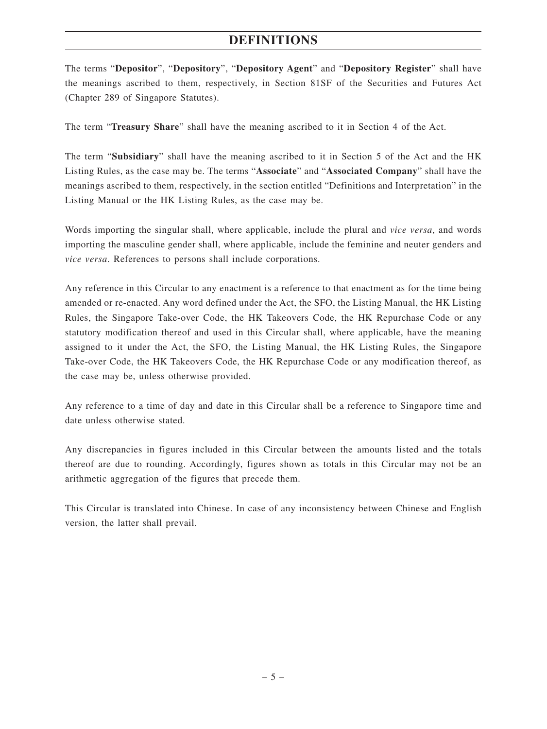The terms "**Depositor**", "**Depository**", "**Depository Agent**" and "**Depository Register**" shall have the meanings ascribed to them, respectively, in Section 81SF of the Securities and Futures Act (Chapter 289 of Singapore Statutes).

The term "**Treasury Share**" shall have the meaning ascribed to it in Section 4 of the Act.

The term "**Subsidiary**" shall have the meaning ascribed to it in Section 5 of the Act and the HK Listing Rules, as the case may be. The terms "**Associate**" and "**Associated Company**" shall have the meanings ascribed to them, respectively, in the section entitled "Definitions and Interpretation" in the Listing Manual or the HK Listing Rules, as the case may be.

Words importing the singular shall, where applicable, include the plural and *vice versa*, and words importing the masculine gender shall, where applicable, include the feminine and neuter genders and *vice versa*. References to persons shall include corporations.

Any reference in this Circular to any enactment is a reference to that enactment as for the time being amended or re-enacted. Any word defined under the Act, the SFO, the Listing Manual, the HK Listing Rules, the Singapore Take-over Code, the HK Takeovers Code, the HK Repurchase Code or any statutory modification thereof and used in this Circular shall, where applicable, have the meaning assigned to it under the Act, the SFO, the Listing Manual, the HK Listing Rules, the Singapore Take-over Code, the HK Takeovers Code, the HK Repurchase Code or any modification thereof, as the case may be, unless otherwise provided.

Any reference to a time of day and date in this Circular shall be a reference to Singapore time and date unless otherwise stated.

Any discrepancies in figures included in this Circular between the amounts listed and the totals thereof are due to rounding. Accordingly, figures shown as totals in this Circular may not be an arithmetic aggregation of the figures that precede them.

This Circular is translated into Chinese. In case of any inconsistency between Chinese and English version, the latter shall prevail.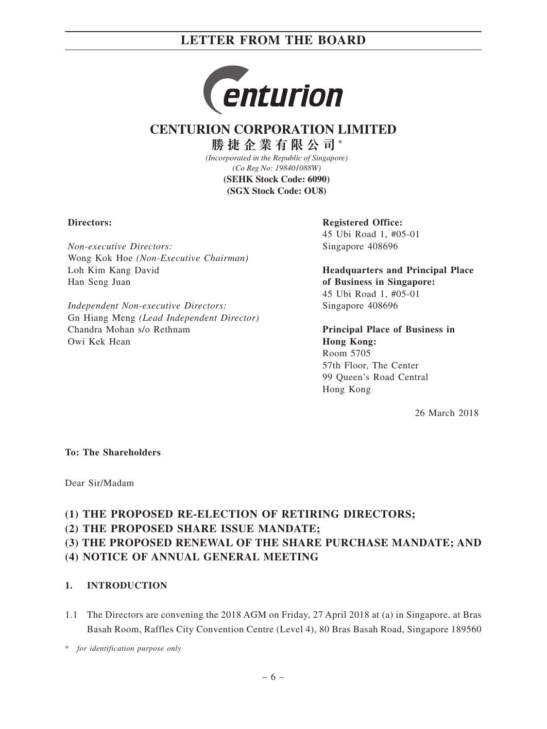

## **CENTURION CORPORATION LIMITED**

**勝捷企業有限公司 \***

*(Incorporated in the Republic of Singapore) (Co Reg No: 198401088W)* **(SEHK Stock Code: 6090) (SGX Stock Code: OU8)**

#### **Directors:**

*Non-executive Directors:* Wong Kok Hoe *(Non-Executive Chairman)* Loh Kim Kang David Han Seng Juan

*Independent Non-executive Directors:* Gn Hiang Meng *(Lead Independent Director)* Chandra Mohan s/o Rethnam Owi Kek Hean

**Registered Office:** 45 Ubi Road 1, #05-01 Singapore 408696

**Headquarters and Principal Place of Business in Singapore:** 45 Ubi Road 1, #05-01 Singapore 408696

**Principal Place of Business in Hong Kong:** Room 5705 57th Floor, The Center 99 Queen's Road Central Hong Kong

26 March 2018

#### **To: The Shareholders**

Dear Sir/Madam

### **(1) THE PROPOSED RE-ELECTION OF RETIRING DIRECTORS;**

**(2) THE PROPOSED SHARE ISSUE MANDATE;**

### **(3) THE PROPOSED RENEWAL OF THE SHARE PURCHASE MANDATE; AND**

**(4) NOTICE OF ANNUAL GENERAL MEETING**

### **1. INTRODUCTION**

1.1 The Directors are convening the 2018 AGM on Friday, 27 April 2018 at (a) in Singapore, at Bras Basah Room, Raffles City Convention Centre (Level 4), 80 Bras Basah Road, Singapore 189560

\* *for identification purpose only*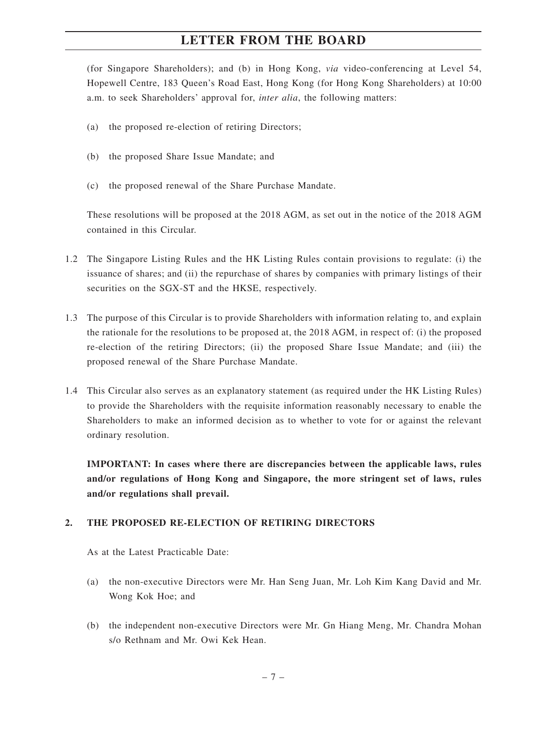(for Singapore Shareholders); and (b) in Hong Kong, *via* video-conferencing at Level 54, Hopewell Centre, 183 Queen's Road East, Hong Kong (for Hong Kong Shareholders) at 10:00 a.m. to seek Shareholders' approval for, *inter alia*, the following matters:

- (a) the proposed re-election of retiring Directors;
- (b) the proposed Share Issue Mandate; and
- (c) the proposed renewal of the Share Purchase Mandate.

These resolutions will be proposed at the 2018 AGM, as set out in the notice of the 2018 AGM contained in this Circular.

- 1.2 The Singapore Listing Rules and the HK Listing Rules contain provisions to regulate: (i) the issuance of shares; and (ii) the repurchase of shares by companies with primary listings of their securities on the SGX-ST and the HKSE, respectively.
- 1.3 The purpose of this Circular is to provide Shareholders with information relating to, and explain the rationale for the resolutions to be proposed at, the 2018 AGM, in respect of: (i) the proposed re-election of the retiring Directors; (ii) the proposed Share Issue Mandate; and (iii) the proposed renewal of the Share Purchase Mandate.
- 1.4 This Circular also serves as an explanatory statement (as required under the HK Listing Rules) to provide the Shareholders with the requisite information reasonably necessary to enable the Shareholders to make an informed decision as to whether to vote for or against the relevant ordinary resolution.

**IMPORTANT: In cases where there are discrepancies between the applicable laws, rules and/or regulations of Hong Kong and Singapore, the more stringent set of laws, rules and/or regulations shall prevail.**

#### **2. THE PROPOSED RE-ELECTION OF RETIRING DIRECTORS**

As at the Latest Practicable Date:

- (a) the non-executive Directors were Mr. Han Seng Juan, Mr. Loh Kim Kang David and Mr. Wong Kok Hoe; and
- (b) the independent non-executive Directors were Mr. Gn Hiang Meng, Mr. Chandra Mohan s/o Rethnam and Mr. Owi Kek Hean.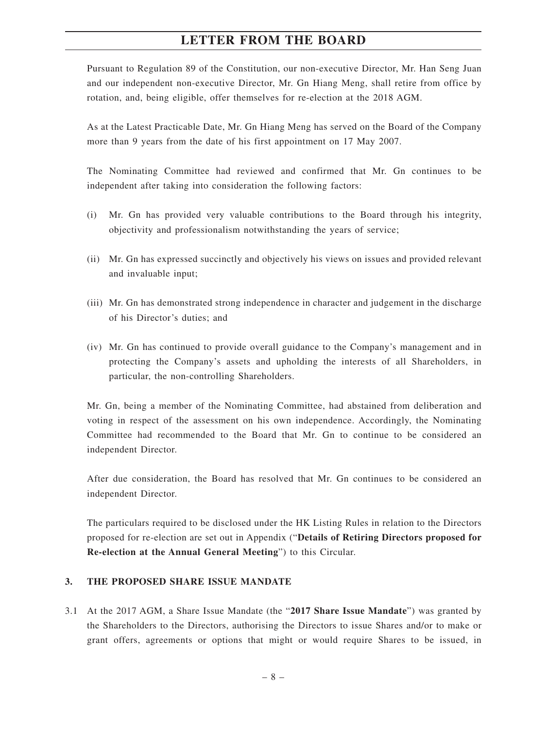Pursuant to Regulation 89 of the Constitution, our non-executive Director, Mr. Han Seng Juan and our independent non-executive Director, Mr. Gn Hiang Meng, shall retire from office by rotation, and, being eligible, offer themselves for re-election at the 2018 AGM.

As at the Latest Practicable Date, Mr. Gn Hiang Meng has served on the Board of the Company more than 9 years from the date of his first appointment on 17 May 2007.

The Nominating Committee had reviewed and confirmed that Mr. Gn continues to be independent after taking into consideration the following factors:

- (i) Mr. Gn has provided very valuable contributions to the Board through his integrity, objectivity and professionalism notwithstanding the years of service;
- (ii) Mr. Gn has expressed succinctly and objectively his views on issues and provided relevant and invaluable input;
- (iii) Mr. Gn has demonstrated strong independence in character and judgement in the discharge of his Director's duties; and
- (iv) Mr. Gn has continued to provide overall guidance to the Company's management and in protecting the Company's assets and upholding the interests of all Shareholders, in particular, the non-controlling Shareholders.

Mr. Gn, being a member of the Nominating Committee, had abstained from deliberation and voting in respect of the assessment on his own independence. Accordingly, the Nominating Committee had recommended to the Board that Mr. Gn to continue to be considered an independent Director.

After due consideration, the Board has resolved that Mr. Gn continues to be considered an independent Director.

The particulars required to be disclosed under the HK Listing Rules in relation to the Directors proposed for re-election are set out in Appendix ("**Details of Retiring Directors proposed for Re-election at the Annual General Meeting**") to this Circular.

#### **3. THE PROPOSED SHARE ISSUE MANDATE**

3.1 At the 2017 AGM, a Share Issue Mandate (the "**2017 Share Issue Mandate**") was granted by the Shareholders to the Directors, authorising the Directors to issue Shares and/or to make or grant offers, agreements or options that might or would require Shares to be issued, in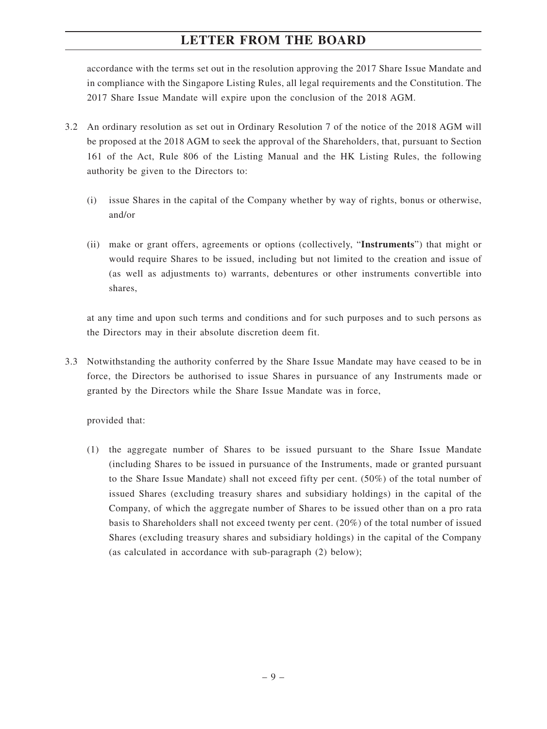accordance with the terms set out in the resolution approving the 2017 Share Issue Mandate and in compliance with the Singapore Listing Rules, all legal requirements and the Constitution. The 2017 Share Issue Mandate will expire upon the conclusion of the 2018 AGM.

- 3.2 An ordinary resolution as set out in Ordinary Resolution 7 of the notice of the 2018 AGM will be proposed at the 2018 AGM to seek the approval of the Shareholders, that, pursuant to Section 161 of the Act, Rule 806 of the Listing Manual and the HK Listing Rules, the following authority be given to the Directors to:
	- (i) issue Shares in the capital of the Company whether by way of rights, bonus or otherwise, and/or
	- (ii) make or grant offers, agreements or options (collectively, "**Instruments**") that might or would require Shares to be issued, including but not limited to the creation and issue of (as well as adjustments to) warrants, debentures or other instruments convertible into shares,

at any time and upon such terms and conditions and for such purposes and to such persons as the Directors may in their absolute discretion deem fit.

3.3 Notwithstanding the authority conferred by the Share Issue Mandate may have ceased to be in force, the Directors be authorised to issue Shares in pursuance of any Instruments made or granted by the Directors while the Share Issue Mandate was in force,

provided that:

(1) the aggregate number of Shares to be issued pursuant to the Share Issue Mandate (including Shares to be issued in pursuance of the Instruments, made or granted pursuant to the Share Issue Mandate) shall not exceed fifty per cent. (50%) of the total number of issued Shares (excluding treasury shares and subsidiary holdings) in the capital of the Company, of which the aggregate number of Shares to be issued other than on a pro rata basis to Shareholders shall not exceed twenty per cent. (20%) of the total number of issued Shares (excluding treasury shares and subsidiary holdings) in the capital of the Company (as calculated in accordance with sub-paragraph (2) below);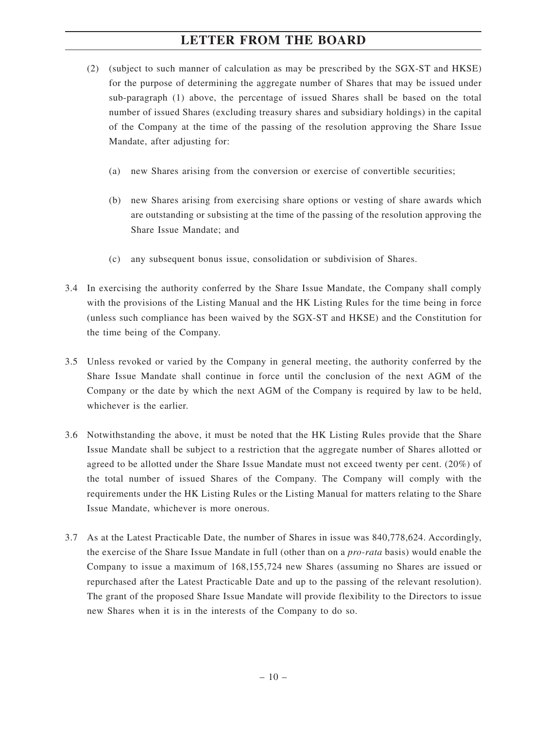- (2) (subject to such manner of calculation as may be prescribed by the SGX-ST and HKSE) for the purpose of determining the aggregate number of Shares that may be issued under sub-paragraph (1) above, the percentage of issued Shares shall be based on the total number of issued Shares (excluding treasury shares and subsidiary holdings) in the capital of the Company at the time of the passing of the resolution approving the Share Issue Mandate, after adjusting for:
	- (a) new Shares arising from the conversion or exercise of convertible securities;
	- (b) new Shares arising from exercising share options or vesting of share awards which are outstanding or subsisting at the time of the passing of the resolution approving the Share Issue Mandate; and
	- (c) any subsequent bonus issue, consolidation or subdivision of Shares.
- 3.4 In exercising the authority conferred by the Share Issue Mandate, the Company shall comply with the provisions of the Listing Manual and the HK Listing Rules for the time being in force (unless such compliance has been waived by the SGX-ST and HKSE) and the Constitution for the time being of the Company.
- 3.5 Unless revoked or varied by the Company in general meeting, the authority conferred by the Share Issue Mandate shall continue in force until the conclusion of the next AGM of the Company or the date by which the next AGM of the Company is required by law to be held, whichever is the earlier.
- 3.6 Notwithstanding the above, it must be noted that the HK Listing Rules provide that the Share Issue Mandate shall be subject to a restriction that the aggregate number of Shares allotted or agreed to be allotted under the Share Issue Mandate must not exceed twenty per cent. (20%) of the total number of issued Shares of the Company. The Company will comply with the requirements under the HK Listing Rules or the Listing Manual for matters relating to the Share Issue Mandate, whichever is more onerous.
- 3.7 As at the Latest Practicable Date, the number of Shares in issue was 840,778,624. Accordingly, the exercise of the Share Issue Mandate in full (other than on a *pro-rata* basis) would enable the Company to issue a maximum of 168,155,724 new Shares (assuming no Shares are issued or repurchased after the Latest Practicable Date and up to the passing of the relevant resolution). The grant of the proposed Share Issue Mandate will provide flexibility to the Directors to issue new Shares when it is in the interests of the Company to do so.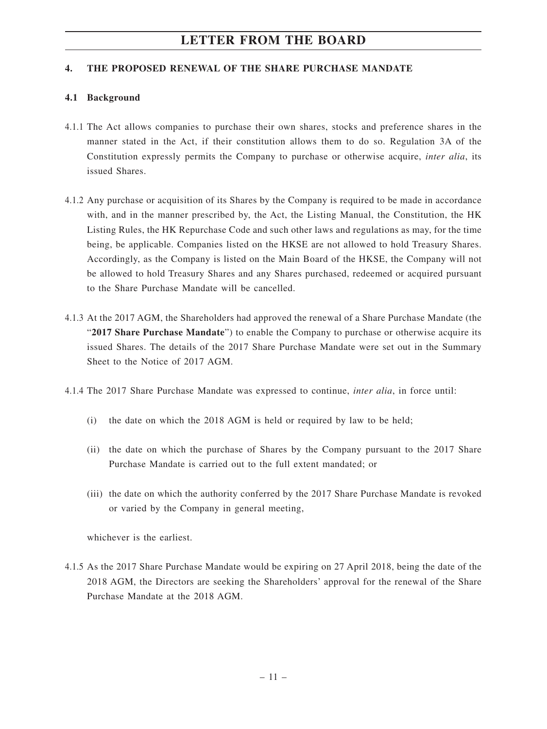#### **4. THE PROPOSED RENEWAL OF THE SHARE PURCHASE MANDATE**

#### **4.1 Background**

- 4.1.1 The Act allows companies to purchase their own shares, stocks and preference shares in the manner stated in the Act, if their constitution allows them to do so. Regulation 3A of the Constitution expressly permits the Company to purchase or otherwise acquire, *inter alia*, its issued Shares.
- 4.1.2 Any purchase or acquisition of its Shares by the Company is required to be made in accordance with, and in the manner prescribed by, the Act, the Listing Manual, the Constitution, the HK Listing Rules, the HK Repurchase Code and such other laws and regulations as may, for the time being, be applicable. Companies listed on the HKSE are not allowed to hold Treasury Shares. Accordingly, as the Company is listed on the Main Board of the HKSE, the Company will not be allowed to hold Treasury Shares and any Shares purchased, redeemed or acquired pursuant to the Share Purchase Mandate will be cancelled.
- 4.1.3 At the 2017 AGM, the Shareholders had approved the renewal of a Share Purchase Mandate (the "**2017 Share Purchase Mandate**") to enable the Company to purchase or otherwise acquire its issued Shares. The details of the 2017 Share Purchase Mandate were set out in the Summary Sheet to the Notice of 2017 AGM.
- 4.1.4 The 2017 Share Purchase Mandate was expressed to continue, *inter alia*, in force until:
	- (i) the date on which the 2018 AGM is held or required by law to be held;
	- (ii) the date on which the purchase of Shares by the Company pursuant to the 2017 Share Purchase Mandate is carried out to the full extent mandated; or
	- (iii) the date on which the authority conferred by the 2017 Share Purchase Mandate is revoked or varied by the Company in general meeting,

whichever is the earliest.

4.1.5 As the 2017 Share Purchase Mandate would be expiring on 27 April 2018, being the date of the 2018 AGM, the Directors are seeking the Shareholders' approval for the renewal of the Share Purchase Mandate at the 2018 AGM.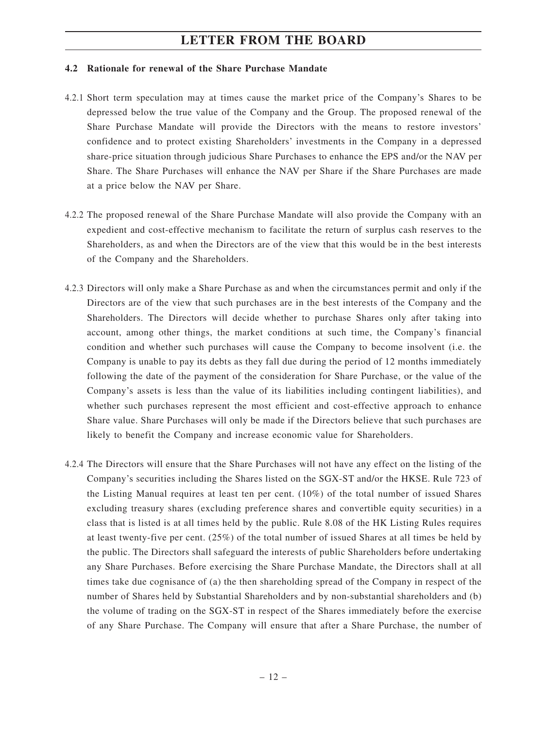#### **4.2 Rationale for renewal of the Share Purchase Mandate**

- 4.2.1 Short term speculation may at times cause the market price of the Company's Shares to be depressed below the true value of the Company and the Group. The proposed renewal of the Share Purchase Mandate will provide the Directors with the means to restore investors' confidence and to protect existing Shareholders' investments in the Company in a depressed share-price situation through judicious Share Purchases to enhance the EPS and/or the NAV per Share. The Share Purchases will enhance the NAV per Share if the Share Purchases are made at a price below the NAV per Share.
- 4.2.2 The proposed renewal of the Share Purchase Mandate will also provide the Company with an expedient and cost-effective mechanism to facilitate the return of surplus cash reserves to the Shareholders, as and when the Directors are of the view that this would be in the best interests of the Company and the Shareholders.
- 4.2.3 Directors will only make a Share Purchase as and when the circumstances permit and only if the Directors are of the view that such purchases are in the best interests of the Company and the Shareholders. The Directors will decide whether to purchase Shares only after taking into account, among other things, the market conditions at such time, the Company's financial condition and whether such purchases will cause the Company to become insolvent (i.e. the Company is unable to pay its debts as they fall due during the period of 12 months immediately following the date of the payment of the consideration for Share Purchase, or the value of the Company's assets is less than the value of its liabilities including contingent liabilities), and whether such purchases represent the most efficient and cost-effective approach to enhance Share value. Share Purchases will only be made if the Directors believe that such purchases are likely to benefit the Company and increase economic value for Shareholders.
- 4.2.4 The Directors will ensure that the Share Purchases will not have any effect on the listing of the Company's securities including the Shares listed on the SGX-ST and/or the HKSE. Rule 723 of the Listing Manual requires at least ten per cent. (10%) of the total number of issued Shares excluding treasury shares (excluding preference shares and convertible equity securities) in a class that is listed is at all times held by the public. Rule 8.08 of the HK Listing Rules requires at least twenty-five per cent. (25%) of the total number of issued Shares at all times be held by the public. The Directors shall safeguard the interests of public Shareholders before undertaking any Share Purchases. Before exercising the Share Purchase Mandate, the Directors shall at all times take due cognisance of (a) the then shareholding spread of the Company in respect of the number of Shares held by Substantial Shareholders and by non-substantial shareholders and (b) the volume of trading on the SGX-ST in respect of the Shares immediately before the exercise of any Share Purchase. The Company will ensure that after a Share Purchase, the number of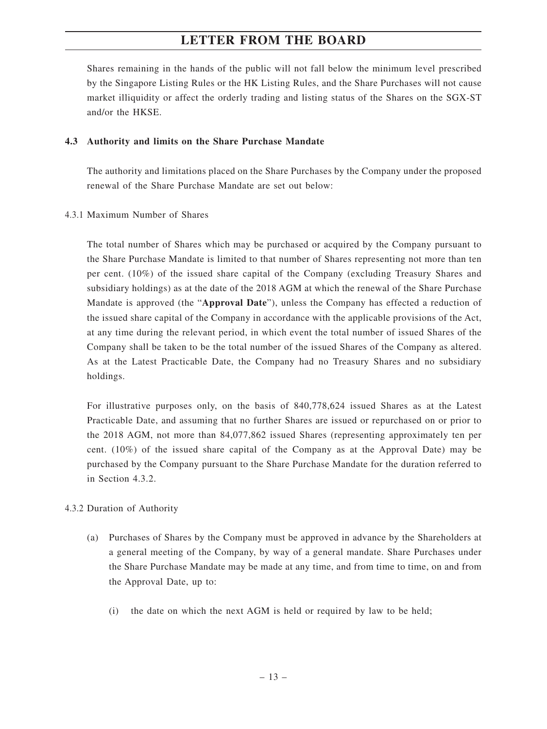Shares remaining in the hands of the public will not fall below the minimum level prescribed by the Singapore Listing Rules or the HK Listing Rules, and the Share Purchases will not cause market illiquidity or affect the orderly trading and listing status of the Shares on the SGX-ST and/or the HKSE.

#### **4.3 Authority and limits on the Share Purchase Mandate**

The authority and limitations placed on the Share Purchases by the Company under the proposed renewal of the Share Purchase Mandate are set out below:

#### 4.3.1 Maximum Number of Shares

The total number of Shares which may be purchased or acquired by the Company pursuant to the Share Purchase Mandate is limited to that number of Shares representing not more than ten per cent. (10%) of the issued share capital of the Company (excluding Treasury Shares and subsidiary holdings) as at the date of the 2018 AGM at which the renewal of the Share Purchase Mandate is approved (the "**Approval Date**"), unless the Company has effected a reduction of the issued share capital of the Company in accordance with the applicable provisions of the Act, at any time during the relevant period, in which event the total number of issued Shares of the Company shall be taken to be the total number of the issued Shares of the Company as altered. As at the Latest Practicable Date, the Company had no Treasury Shares and no subsidiary holdings.

For illustrative purposes only, on the basis of 840,778,624 issued Shares as at the Latest Practicable Date, and assuming that no further Shares are issued or repurchased on or prior to the 2018 AGM, not more than 84,077,862 issued Shares (representing approximately ten per cent. (10%) of the issued share capital of the Company as at the Approval Date) may be purchased by the Company pursuant to the Share Purchase Mandate for the duration referred to in Section 4.3.2.

### 4.3.2 Duration of Authority

- (a) Purchases of Shares by the Company must be approved in advance by the Shareholders at a general meeting of the Company, by way of a general mandate. Share Purchases under the Share Purchase Mandate may be made at any time, and from time to time, on and from the Approval Date, up to:
	- (i) the date on which the next AGM is held or required by law to be held;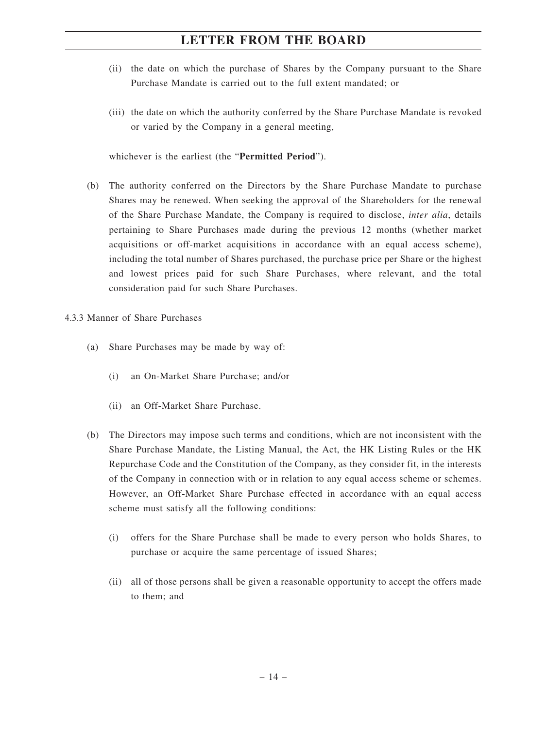- (ii) the date on which the purchase of Shares by the Company pursuant to the Share Purchase Mandate is carried out to the full extent mandated; or
- (iii) the date on which the authority conferred by the Share Purchase Mandate is revoked or varied by the Company in a general meeting,

whichever is the earliest (the "**Permitted Period**").

- (b) The authority conferred on the Directors by the Share Purchase Mandate to purchase Shares may be renewed. When seeking the approval of the Shareholders for the renewal of the Share Purchase Mandate, the Company is required to disclose, *inter alia*, details pertaining to Share Purchases made during the previous 12 months (whether market acquisitions or off-market acquisitions in accordance with an equal access scheme), including the total number of Shares purchased, the purchase price per Share or the highest and lowest prices paid for such Share Purchases, where relevant, and the total consideration paid for such Share Purchases.
- 4.3.3 Manner of Share Purchases
	- (a) Share Purchases may be made by way of:
		- (i) an On-Market Share Purchase; and/or
		- (ii) an Off-Market Share Purchase.
	- (b) The Directors may impose such terms and conditions, which are not inconsistent with the Share Purchase Mandate, the Listing Manual, the Act, the HK Listing Rules or the HK Repurchase Code and the Constitution of the Company, as they consider fit, in the interests of the Company in connection with or in relation to any equal access scheme or schemes. However, an Off-Market Share Purchase effected in accordance with an equal access scheme must satisfy all the following conditions:
		- (i) offers for the Share Purchase shall be made to every person who holds Shares, to purchase or acquire the same percentage of issued Shares;
		- (ii) all of those persons shall be given a reasonable opportunity to accept the offers made to them; and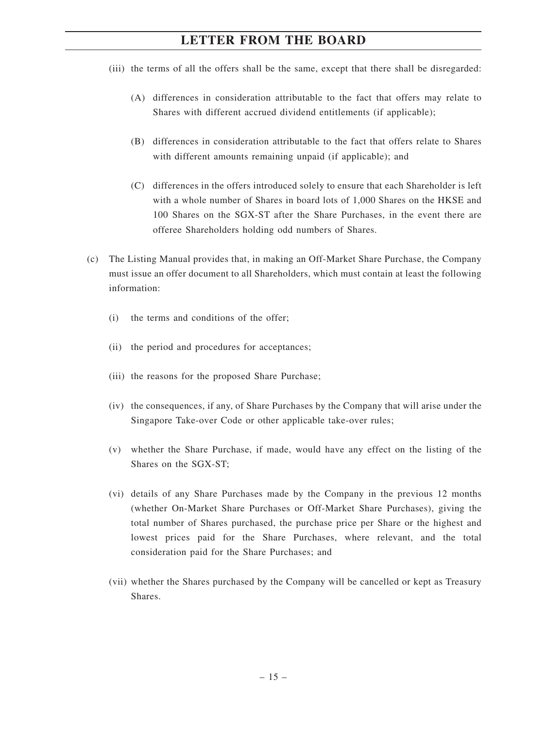- (iii) the terms of all the offers shall be the same, except that there shall be disregarded:
	- (A) differences in consideration attributable to the fact that offers may relate to Shares with different accrued dividend entitlements (if applicable);
	- (B) differences in consideration attributable to the fact that offers relate to Shares with different amounts remaining unpaid (if applicable); and
	- (C) differences in the offers introduced solely to ensure that each Shareholder is left with a whole number of Shares in board lots of 1,000 Shares on the HKSE and 100 Shares on the SGX-ST after the Share Purchases, in the event there are offeree Shareholders holding odd numbers of Shares.
- (c) The Listing Manual provides that, in making an Off-Market Share Purchase, the Company must issue an offer document to all Shareholders, which must contain at least the following information:
	- (i) the terms and conditions of the offer;
	- (ii) the period and procedures for acceptances;
	- (iii) the reasons for the proposed Share Purchase;
	- (iv) the consequences, if any, of Share Purchases by the Company that will arise under the Singapore Take-over Code or other applicable take-over rules;
	- (v) whether the Share Purchase, if made, would have any effect on the listing of the Shares on the SGX-ST;
	- (vi) details of any Share Purchases made by the Company in the previous 12 months (whether On-Market Share Purchases or Off-Market Share Purchases), giving the total number of Shares purchased, the purchase price per Share or the highest and lowest prices paid for the Share Purchases, where relevant, and the total consideration paid for the Share Purchases; and
	- (vii) whether the Shares purchased by the Company will be cancelled or kept as Treasury Shares.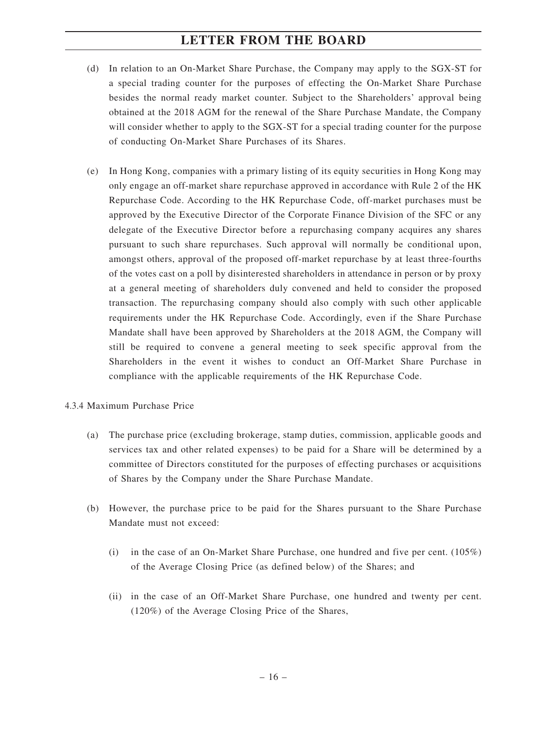- (d) In relation to an On-Market Share Purchase, the Company may apply to the SGX-ST for a special trading counter for the purposes of effecting the On-Market Share Purchase besides the normal ready market counter. Subject to the Shareholders' approval being obtained at the 2018 AGM for the renewal of the Share Purchase Mandate, the Company will consider whether to apply to the SGX-ST for a special trading counter for the purpose of conducting On-Market Share Purchases of its Shares.
- (e) In Hong Kong, companies with a primary listing of its equity securities in Hong Kong may only engage an off-market share repurchase approved in accordance with Rule 2 of the HK Repurchase Code. According to the HK Repurchase Code, off-market purchases must be approved by the Executive Director of the Corporate Finance Division of the SFC or any delegate of the Executive Director before a repurchasing company acquires any shares pursuant to such share repurchases. Such approval will normally be conditional upon, amongst others, approval of the proposed off-market repurchase by at least three-fourths of the votes cast on a poll by disinterested shareholders in attendance in person or by proxy at a general meeting of shareholders duly convened and held to consider the proposed transaction. The repurchasing company should also comply with such other applicable requirements under the HK Repurchase Code. Accordingly, even if the Share Purchase Mandate shall have been approved by Shareholders at the 2018 AGM, the Company will still be required to convene a general meeting to seek specific approval from the Shareholders in the event it wishes to conduct an Off-Market Share Purchase in compliance with the applicable requirements of the HK Repurchase Code.
- 4.3.4 Maximum Purchase Price
	- (a) The purchase price (excluding brokerage, stamp duties, commission, applicable goods and services tax and other related expenses) to be paid for a Share will be determined by a committee of Directors constituted for the purposes of effecting purchases or acquisitions of Shares by the Company under the Share Purchase Mandate.
	- (b) However, the purchase price to be paid for the Shares pursuant to the Share Purchase Mandate must not exceed:
		- (i) in the case of an On-Market Share Purchase, one hundred and five per cent.  $(105\%)$ of the Average Closing Price (as defined below) of the Shares; and
		- (ii) in the case of an Off-Market Share Purchase, one hundred and twenty per cent. (120%) of the Average Closing Price of the Shares,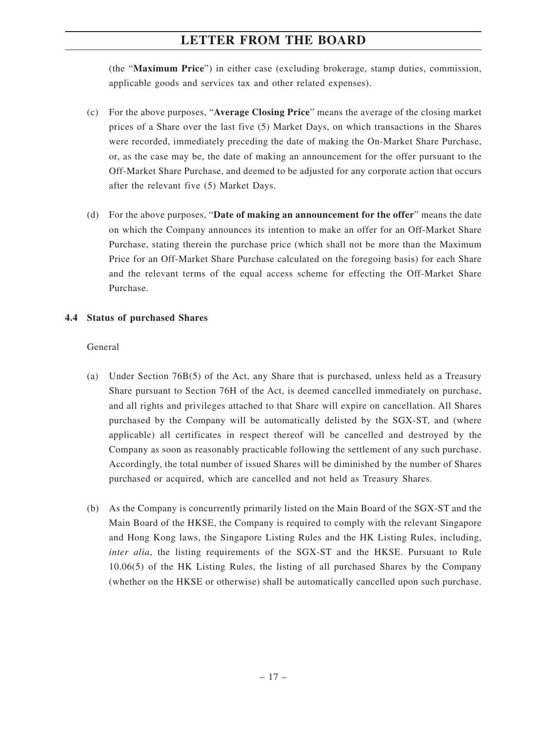(the "**Maximum Price**") in either case (excluding brokerage, stamp duties, commission, applicable goods and services tax and other related expenses).

- (c) For the above purposes, "**Average Closing Price**" means the average of the closing market prices of a Share over the last five (5) Market Days, on which transactions in the Shares were recorded, immediately preceding the date of making the On-Market Share Purchase, or, as the case may be, the date of making an announcement for the offer pursuant to the Off-Market Share Purchase, and deemed to be adjusted for any corporate action that occurs after the relevant five (5) Market Days.
- (d) For the above purposes, "**Date of making an announcement for the offer**" means the date on which the Company announces its intention to make an offer for an Off-Market Share Purchase, stating therein the purchase price (which shall not be more than the Maximum Price for an Off-Market Share Purchase calculated on the foregoing basis) for each Share and the relevant terms of the equal access scheme for effecting the Off-Market Share Purchase.

#### **4.4 Status of purchased Shares**

#### General

- (a) Under Section 76B(5) of the Act, any Share that is purchased, unless held as a Treasury Share pursuant to Section 76H of the Act, is deemed cancelled immediately on purchase, and all rights and privileges attached to that Share will expire on cancellation. All Shares purchased by the Company will be automatically delisted by the SGX-ST, and (where applicable) all certificates in respect thereof will be cancelled and destroyed by the Company as soon as reasonably practicable following the settlement of any such purchase. Accordingly, the total number of issued Shares will be diminished by the number of Shares purchased or acquired, which are cancelled and not held as Treasury Shares.
- (b) As the Company is concurrently primarily listed on the Main Board of the SGX-ST and the Main Board of the HKSE, the Company is required to comply with the relevant Singapore and Hong Kong laws, the Singapore Listing Rules and the HK Listing Rules, including, *inter alia*, the listing requirements of the SGX-ST and the HKSE. Pursuant to Rule 10.06(5) of the HK Listing Rules, the listing of all purchased Shares by the Company (whether on the HKSE or otherwise) shall be automatically cancelled upon such purchase.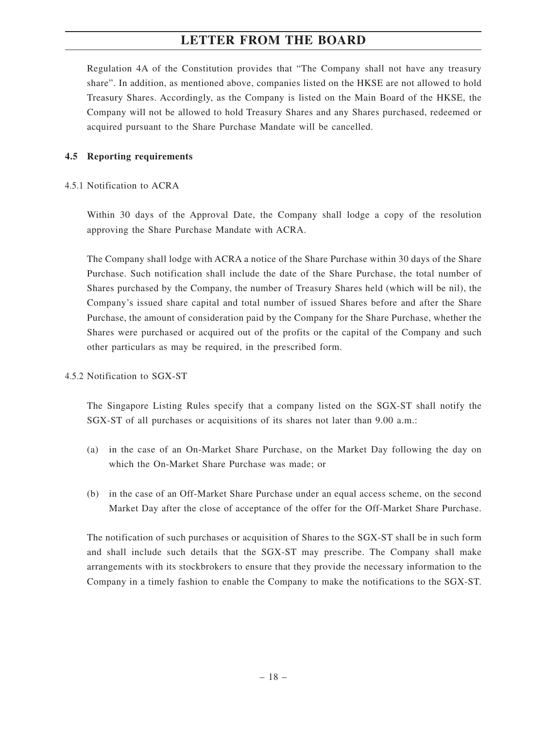Regulation 4A of the Constitution provides that "The Company shall not have any treasury share". In addition, as mentioned above, companies listed on the HKSE are not allowed to hold Treasury Shares. Accordingly, as the Company is listed on the Main Board of the HKSE, the Company will not be allowed to hold Treasury Shares and any Shares purchased, redeemed or acquired pursuant to the Share Purchase Mandate will be cancelled.

#### **4.5 Reporting requirements**

#### 4.5.1 Notification to ACRA

Within 30 days of the Approval Date, the Company shall lodge a copy of the resolution approving the Share Purchase Mandate with ACRA.

The Company shall lodge with ACRA a notice of the Share Purchase within 30 days of the Share Purchase. Such notification shall include the date of the Share Purchase, the total number of Shares purchased by the Company, the number of Treasury Shares held (which will be nil), the Company's issued share capital and total number of issued Shares before and after the Share Purchase, the amount of consideration paid by the Company for the Share Purchase, whether the Shares were purchased or acquired out of the profits or the capital of the Company and such other particulars as may be required, in the prescribed form.

4.5.2 Notification to SGX-ST

The Singapore Listing Rules specify that a company listed on the SGX-ST shall notify the SGX-ST of all purchases or acquisitions of its shares not later than 9.00 a.m.:

- (a) in the case of an On-Market Share Purchase, on the Market Day following the day on which the On-Market Share Purchase was made; or
- (b) in the case of an Off-Market Share Purchase under an equal access scheme, on the second Market Day after the close of acceptance of the offer for the Off-Market Share Purchase.

The notification of such purchases or acquisition of Shares to the SGX-ST shall be in such form and shall include such details that the SGX-ST may prescribe. The Company shall make arrangements with its stockbrokers to ensure that they provide the necessary information to the Company in a timely fashion to enable the Company to make the notifications to the SGX-ST.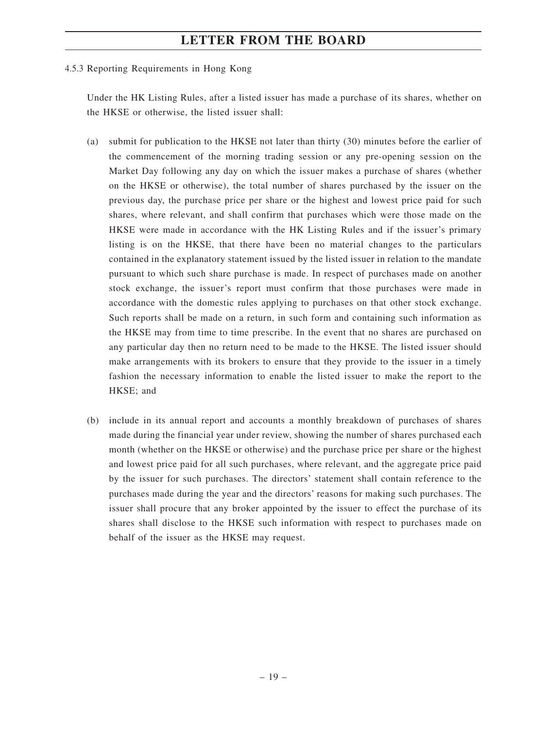#### 4.5.3 Reporting Requirements in Hong Kong

Under the HK Listing Rules, after a listed issuer has made a purchase of its shares, whether on the HKSE or otherwise, the listed issuer shall:

- (a) submit for publication to the HKSE not later than thirty (30) minutes before the earlier of the commencement of the morning trading session or any pre-opening session on the Market Day following any day on which the issuer makes a purchase of shares (whether on the HKSE or otherwise), the total number of shares purchased by the issuer on the previous day, the purchase price per share or the highest and lowest price paid for such shares, where relevant, and shall confirm that purchases which were those made on the HKSE were made in accordance with the HK Listing Rules and if the issuer's primary listing is on the HKSE, that there have been no material changes to the particulars contained in the explanatory statement issued by the listed issuer in relation to the mandate pursuant to which such share purchase is made. In respect of purchases made on another stock exchange, the issuer's report must confirm that those purchases were made in accordance with the domestic rules applying to purchases on that other stock exchange. Such reports shall be made on a return, in such form and containing such information as the HKSE may from time to time prescribe. In the event that no shares are purchased on any particular day then no return need to be made to the HKSE. The listed issuer should make arrangements with its brokers to ensure that they provide to the issuer in a timely fashion the necessary information to enable the listed issuer to make the report to the HKSE; and
- (b) include in its annual report and accounts a monthly breakdown of purchases of shares made during the financial year under review, showing the number of shares purchased each month (whether on the HKSE or otherwise) and the purchase price per share or the highest and lowest price paid for all such purchases, where relevant, and the aggregate price paid by the issuer for such purchases. The directors' statement shall contain reference to the purchases made during the year and the directors' reasons for making such purchases. The issuer shall procure that any broker appointed by the issuer to effect the purchase of its shares shall disclose to the HKSE such information with respect to purchases made on behalf of the issuer as the HKSE may request.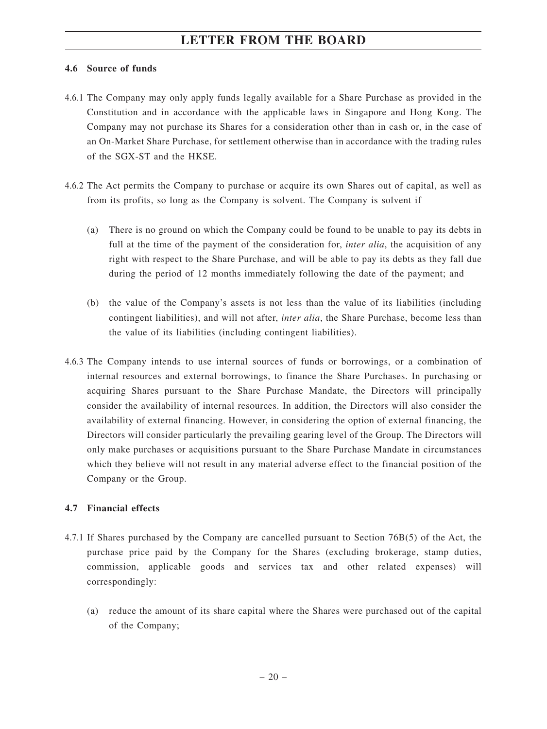#### **4.6 Source of funds**

- 4.6.1 The Company may only apply funds legally available for a Share Purchase as provided in the Constitution and in accordance with the applicable laws in Singapore and Hong Kong. The Company may not purchase its Shares for a consideration other than in cash or, in the case of an On-Market Share Purchase, for settlement otherwise than in accordance with the trading rules of the SGX-ST and the HKSE.
- 4.6.2 The Act permits the Company to purchase or acquire its own Shares out of capital, as well as from its profits, so long as the Company is solvent. The Company is solvent if
	- (a) There is no ground on which the Company could be found to be unable to pay its debts in full at the time of the payment of the consideration for, *inter alia*, the acquisition of any right with respect to the Share Purchase, and will be able to pay its debts as they fall due during the period of 12 months immediately following the date of the payment; and
	- (b) the value of the Company's assets is not less than the value of its liabilities (including contingent liabilities), and will not after, *inter alia*, the Share Purchase, become less than the value of its liabilities (including contingent liabilities).
- 4.6.3 The Company intends to use internal sources of funds or borrowings, or a combination of internal resources and external borrowings, to finance the Share Purchases. In purchasing or acquiring Shares pursuant to the Share Purchase Mandate, the Directors will principally consider the availability of internal resources. In addition, the Directors will also consider the availability of external financing. However, in considering the option of external financing, the Directors will consider particularly the prevailing gearing level of the Group. The Directors will only make purchases or acquisitions pursuant to the Share Purchase Mandate in circumstances which they believe will not result in any material adverse effect to the financial position of the Company or the Group.

#### **4.7 Financial effects**

- 4.7.1 If Shares purchased by the Company are cancelled pursuant to Section 76B(5) of the Act, the purchase price paid by the Company for the Shares (excluding brokerage, stamp duties, commission, applicable goods and services tax and other related expenses) will correspondingly:
	- (a) reduce the amount of its share capital where the Shares were purchased out of the capital of the Company;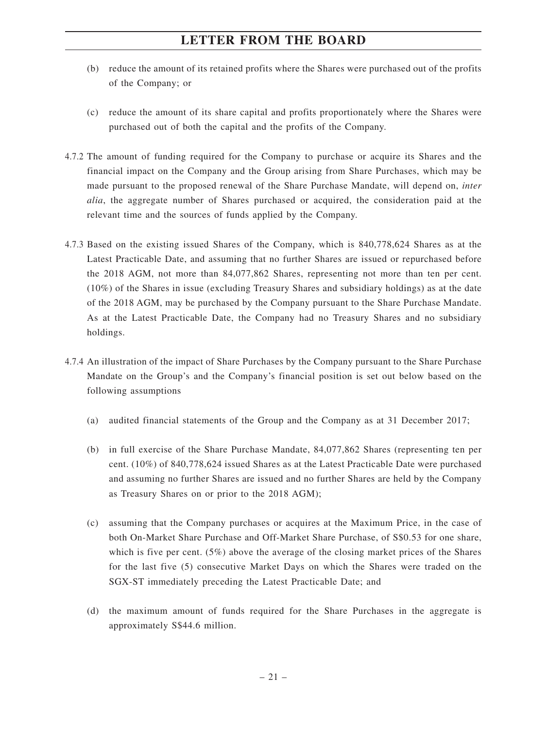- (b) reduce the amount of its retained profits where the Shares were purchased out of the profits of the Company; or
- (c) reduce the amount of its share capital and profits proportionately where the Shares were purchased out of both the capital and the profits of the Company.
- 4.7.2 The amount of funding required for the Company to purchase or acquire its Shares and the financial impact on the Company and the Group arising from Share Purchases, which may be made pursuant to the proposed renewal of the Share Purchase Mandate, will depend on, *inter alia*, the aggregate number of Shares purchased or acquired, the consideration paid at the relevant time and the sources of funds applied by the Company.
- 4.7.3 Based on the existing issued Shares of the Company, which is 840,778,624 Shares as at the Latest Practicable Date, and assuming that no further Shares are issued or repurchased before the 2018 AGM, not more than 84,077,862 Shares, representing not more than ten per cent. (10%) of the Shares in issue (excluding Treasury Shares and subsidiary holdings) as at the date of the 2018 AGM, may be purchased by the Company pursuant to the Share Purchase Mandate. As at the Latest Practicable Date, the Company had no Treasury Shares and no subsidiary holdings.
- 4.7.4 An illustration of the impact of Share Purchases by the Company pursuant to the Share Purchase Mandate on the Group's and the Company's financial position is set out below based on the following assumptions
	- (a) audited financial statements of the Group and the Company as at 31 December 2017;
	- (b) in full exercise of the Share Purchase Mandate, 84,077,862 Shares (representing ten per cent. (10%) of 840,778,624 issued Shares as at the Latest Practicable Date were purchased and assuming no further Shares are issued and no further Shares are held by the Company as Treasury Shares on or prior to the 2018 AGM);
	- (c) assuming that the Company purchases or acquires at the Maximum Price, in the case of both On-Market Share Purchase and Off-Market Share Purchase, of S\$0.53 for one share, which is five per cent. (5%) above the average of the closing market prices of the Shares for the last five (5) consecutive Market Days on which the Shares were traded on the SGX-ST immediately preceding the Latest Practicable Date; and
	- (d) the maximum amount of funds required for the Share Purchases in the aggregate is approximately S\$44.6 million.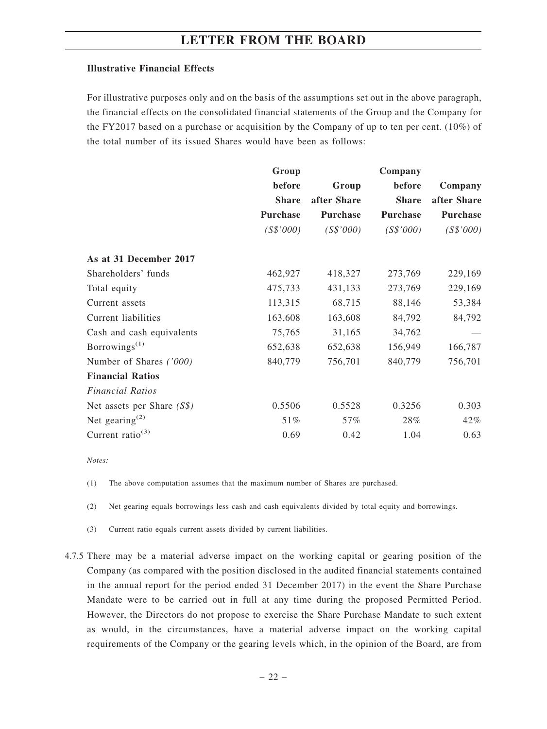#### **Illustrative Financial Effects**

For illustrative purposes only and on the basis of the assumptions set out in the above paragraph, the financial effects on the consolidated financial statements of the Group and the Company for the FY2017 based on a purchase or acquisition by the Company of up to ten per cent. (10%) of the total number of its issued Shares would have been as follows:

|                                         | Group           |             | Company      |                 |
|-----------------------------------------|-----------------|-------------|--------------|-----------------|
|                                         | before          | Group       | before       | Company         |
|                                         | <b>Share</b>    | after Share | <b>Share</b> | after Share     |
|                                         | <b>Purchase</b> | Purchase    | Purchase     | <b>Purchase</b> |
|                                         | (S\$'000)       | (S\$'000)   | (S\$'000)    | (S\$'000)       |
| As at 31 December 2017                  |                 |             |              |                 |
| Shareholders' funds                     | 462,927         | 418,327     | 273,769      | 229,169         |
| Total equity                            | 475,733         | 431,133     | 273,769      | 229,169         |
| Current assets                          | 113,315         | 68,715      | 88,146       | 53,384          |
| Current liabilities                     | 163,608         | 163,608     | 84,792       | 84,792          |
| Cash and cash equivalents               | 75,765          | 31,165      | 34,762       |                 |
| Borrowings <sup><math>(1)</math></sup>  | 652,638         | 652,638     | 156,949      | 166,787         |
| Number of Shares ('000)                 | 840,779         | 756,701     | 840,779      | 756,701         |
| <b>Financial Ratios</b>                 |                 |             |              |                 |
| <b>Financial Ratios</b>                 |                 |             |              |                 |
| Net assets per Share $(S\$ )            | 0.5506          | 0.5528      | 0.3256       | 0.303           |
| Net gearing <sup><math>(2)</math></sup> | 51%             | 57%         | 28%          | 42%             |
| Current ratio <sup>(3)</sup>            | 0.69            | 0.42        | 1.04         | 0.63            |

*Notes:*

(1) The above computation assumes that the maximum number of Shares are purchased.

(2) Net gearing equals borrowings less cash and cash equivalents divided by total equity and borrowings.

(3) Current ratio equals current assets divided by current liabilities.

4.7.5 There may be a material adverse impact on the working capital or gearing position of the Company (as compared with the position disclosed in the audited financial statements contained in the annual report for the period ended 31 December 2017) in the event the Share Purchase Mandate were to be carried out in full at any time during the proposed Permitted Period. However, the Directors do not propose to exercise the Share Purchase Mandate to such extent as would, in the circumstances, have a material adverse impact on the working capital requirements of the Company or the gearing levels which, in the opinion of the Board, are from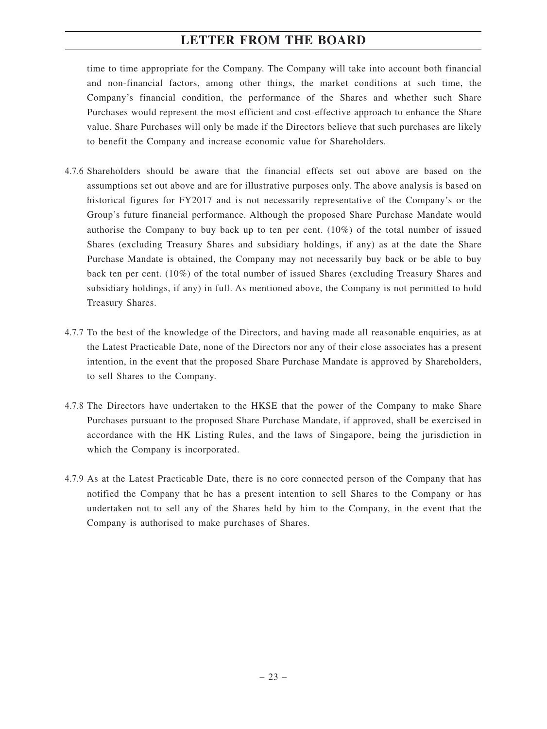time to time appropriate for the Company. The Company will take into account both financial and non-financial factors, among other things, the market conditions at such time, the Company's financial condition, the performance of the Shares and whether such Share Purchases would represent the most efficient and cost-effective approach to enhance the Share value. Share Purchases will only be made if the Directors believe that such purchases are likely to benefit the Company and increase economic value for Shareholders.

- 4.7.6 Shareholders should be aware that the financial effects set out above are based on the assumptions set out above and are for illustrative purposes only. The above analysis is based on historical figures for FY2017 and is not necessarily representative of the Company's or the Group's future financial performance. Although the proposed Share Purchase Mandate would authorise the Company to buy back up to ten per cent.  $(10\%)$  of the total number of issued Shares (excluding Treasury Shares and subsidiary holdings, if any) as at the date the Share Purchase Mandate is obtained, the Company may not necessarily buy back or be able to buy back ten per cent. (10%) of the total number of issued Shares (excluding Treasury Shares and subsidiary holdings, if any) in full. As mentioned above, the Company is not permitted to hold Treasury Shares.
- 4.7.7 To the best of the knowledge of the Directors, and having made all reasonable enquiries, as at the Latest Practicable Date, none of the Directors nor any of their close associates has a present intention, in the event that the proposed Share Purchase Mandate is approved by Shareholders, to sell Shares to the Company.
- 4.7.8 The Directors have undertaken to the HKSE that the power of the Company to make Share Purchases pursuant to the proposed Share Purchase Mandate, if approved, shall be exercised in accordance with the HK Listing Rules, and the laws of Singapore, being the jurisdiction in which the Company is incorporated.
- 4.7.9 As at the Latest Practicable Date, there is no core connected person of the Company that has notified the Company that he has a present intention to sell Shares to the Company or has undertaken not to sell any of the Shares held by him to the Company, in the event that the Company is authorised to make purchases of Shares.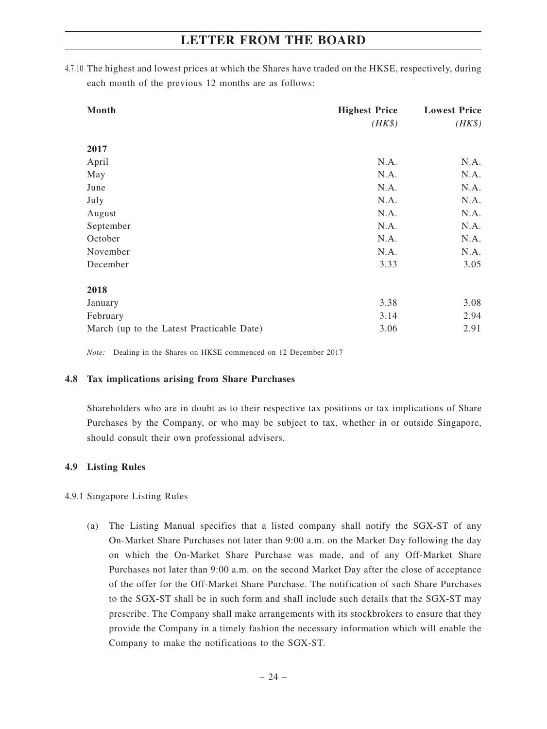4.7.10 The highest and lowest prices at which the Shares have traded on the HKSE, respectively, during each month of the previous 12 months are as follows:

| Month                                     | <b>Highest Price</b> | <b>Lowest Price</b> |
|-------------------------------------------|----------------------|---------------------|
|                                           | $(HK\$               | $(HK\$              |
| 2017                                      |                      |                     |
| April                                     | N.A.                 | N.A.                |
| May                                       | N.A.                 | N.A.                |
| June                                      | N.A.                 | N.A.                |
| July                                      | N.A.                 | N.A.                |
| August                                    | N.A.                 | N.A.                |
| September                                 | N.A.                 | N.A.                |
| October                                   | N.A.                 | N.A.                |
| November                                  | N.A.                 | N.A.                |
| December                                  | 3.33                 | 3.05                |
| 2018                                      |                      |                     |
| January                                   | 3.38                 | 3.08                |
| February                                  | 3.14                 | 2.94                |
| March (up to the Latest Practicable Date) | 3.06                 | 2.91                |

*Note:* Dealing in the Shares on HKSE commenced on 12 December 2017

#### **4.8 Tax implications arising from Share Purchases**

Shareholders who are in doubt as to their respective tax positions or tax implications of Share Purchases by the Company, or who may be subject to tax, whether in or outside Singapore, should consult their own professional advisers.

#### **4.9 Listing Rules**

#### 4.9.1 Singapore Listing Rules

(a) The Listing Manual specifies that a listed company shall notify the SGX-ST of any On-Market Share Purchases not later than 9:00 a.m. on the Market Day following the day on which the On-Market Share Purchase was made, and of any Off-Market Share Purchases not later than 9:00 a.m. on the second Market Day after the close of acceptance of the offer for the Off-Market Share Purchase. The notification of such Share Purchases to the SGX-ST shall be in such form and shall include such details that the SGX-ST may prescribe. The Company shall make arrangements with its stockbrokers to ensure that they provide the Company in a timely fashion the necessary information which will enable the Company to make the notifications to the SGX-ST.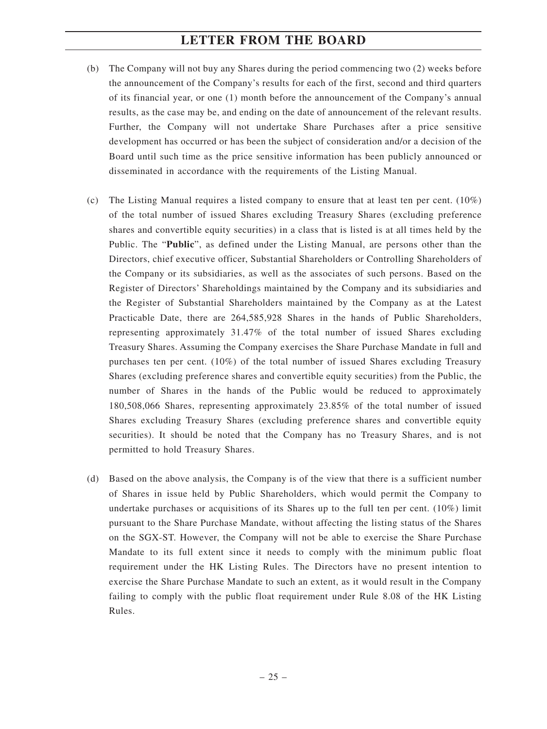- (b) The Company will not buy any Shares during the period commencing two (2) weeks before the announcement of the Company's results for each of the first, second and third quarters of its financial year, or one (1) month before the announcement of the Company's annual results, as the case may be, and ending on the date of announcement of the relevant results. Further, the Company will not undertake Share Purchases after a price sensitive development has occurred or has been the subject of consideration and/or a decision of the Board until such time as the price sensitive information has been publicly announced or disseminated in accordance with the requirements of the Listing Manual.
- (c) The Listing Manual requires a listed company to ensure that at least ten per cent.  $(10\%)$ of the total number of issued Shares excluding Treasury Shares (excluding preference shares and convertible equity securities) in a class that is listed is at all times held by the Public. The "**Public**", as defined under the Listing Manual, are persons other than the Directors, chief executive officer, Substantial Shareholders or Controlling Shareholders of the Company or its subsidiaries, as well as the associates of such persons. Based on the Register of Directors' Shareholdings maintained by the Company and its subsidiaries and the Register of Substantial Shareholders maintained by the Company as at the Latest Practicable Date, there are 264,585,928 Shares in the hands of Public Shareholders, representing approximately 31.47% of the total number of issued Shares excluding Treasury Shares. Assuming the Company exercises the Share Purchase Mandate in full and purchases ten per cent. (10%) of the total number of issued Shares excluding Treasury Shares (excluding preference shares and convertible equity securities) from the Public, the number of Shares in the hands of the Public would be reduced to approximately 180,508,066 Shares, representing approximately 23.85% of the total number of issued Shares excluding Treasury Shares (excluding preference shares and convertible equity securities). It should be noted that the Company has no Treasury Shares, and is not permitted to hold Treasury Shares.
- (d) Based on the above analysis, the Company is of the view that there is a sufficient number of Shares in issue held by Public Shareholders, which would permit the Company to undertake purchases or acquisitions of its Shares up to the full ten per cent.  $(10\%)$  limit pursuant to the Share Purchase Mandate, without affecting the listing status of the Shares on the SGX-ST. However, the Company will not be able to exercise the Share Purchase Mandate to its full extent since it needs to comply with the minimum public float requirement under the HK Listing Rules. The Directors have no present intention to exercise the Share Purchase Mandate to such an extent, as it would result in the Company failing to comply with the public float requirement under Rule 8.08 of the HK Listing Rules.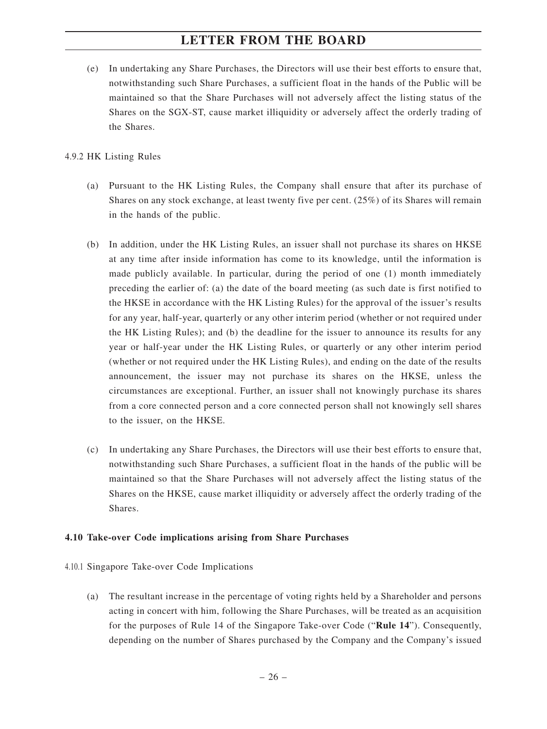(e) In undertaking any Share Purchases, the Directors will use their best efforts to ensure that, notwithstanding such Share Purchases, a sufficient float in the hands of the Public will be maintained so that the Share Purchases will not adversely affect the listing status of the Shares on the SGX-ST, cause market illiquidity or adversely affect the orderly trading of the Shares.

#### 4.9.2 HK Listing Rules

- (a) Pursuant to the HK Listing Rules, the Company shall ensure that after its purchase of Shares on any stock exchange, at least twenty five per cent. (25%) of its Shares will remain in the hands of the public.
- (b) In addition, under the HK Listing Rules, an issuer shall not purchase its shares on HKSE at any time after inside information has come to its knowledge, until the information is made publicly available. In particular, during the period of one (1) month immediately preceding the earlier of: (a) the date of the board meeting (as such date is first notified to the HKSE in accordance with the HK Listing Rules) for the approval of the issuer's results for any year, half-year, quarterly or any other interim period (whether or not required under the HK Listing Rules); and (b) the deadline for the issuer to announce its results for any year or half-year under the HK Listing Rules, or quarterly or any other interim period (whether or not required under the HK Listing Rules), and ending on the date of the results announcement, the issuer may not purchase its shares on the HKSE, unless the circumstances are exceptional. Further, an issuer shall not knowingly purchase its shares from a core connected person and a core connected person shall not knowingly sell shares to the issuer, on the HKSE.
- (c) In undertaking any Share Purchases, the Directors will use their best efforts to ensure that, notwithstanding such Share Purchases, a sufficient float in the hands of the public will be maintained so that the Share Purchases will not adversely affect the listing status of the Shares on the HKSE, cause market illiquidity or adversely affect the orderly trading of the Shares.

#### **4.10 Take-over Code implications arising from Share Purchases**

- 4.10.1 Singapore Take-over Code Implications
	- (a) The resultant increase in the percentage of voting rights held by a Shareholder and persons acting in concert with him, following the Share Purchases, will be treated as an acquisition for the purposes of Rule 14 of the Singapore Take-over Code ("**Rule 14**"). Consequently, depending on the number of Shares purchased by the Company and the Company's issued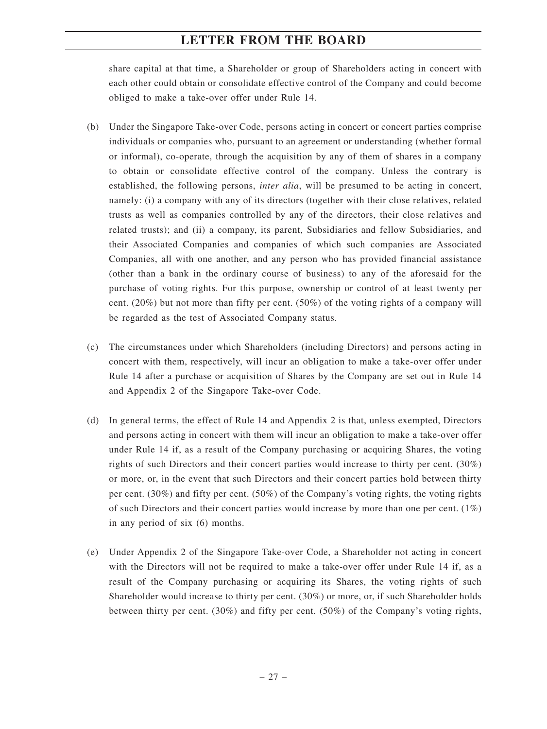share capital at that time, a Shareholder or group of Shareholders acting in concert with each other could obtain or consolidate effective control of the Company and could become obliged to make a take-over offer under Rule 14.

- (b) Under the Singapore Take-over Code, persons acting in concert or concert parties comprise individuals or companies who, pursuant to an agreement or understanding (whether formal or informal), co-operate, through the acquisition by any of them of shares in a company to obtain or consolidate effective control of the company. Unless the contrary is established, the following persons, *inter alia*, will be presumed to be acting in concert, namely: (i) a company with any of its directors (together with their close relatives, related trusts as well as companies controlled by any of the directors, their close relatives and related trusts); and (ii) a company, its parent, Subsidiaries and fellow Subsidiaries, and their Associated Companies and companies of which such companies are Associated Companies, all with one another, and any person who has provided financial assistance (other than a bank in the ordinary course of business) to any of the aforesaid for the purchase of voting rights. For this purpose, ownership or control of at least twenty per cent.  $(20\%)$  but not more than fifty per cent.  $(50\%)$  of the voting rights of a company will be regarded as the test of Associated Company status.
- (c) The circumstances under which Shareholders (including Directors) and persons acting in concert with them, respectively, will incur an obligation to make a take-over offer under Rule 14 after a purchase or acquisition of Shares by the Company are set out in Rule 14 and Appendix 2 of the Singapore Take-over Code.
- (d) In general terms, the effect of Rule 14 and Appendix 2 is that, unless exempted, Directors and persons acting in concert with them will incur an obligation to make a take-over offer under Rule 14 if, as a result of the Company purchasing or acquiring Shares, the voting rights of such Directors and their concert parties would increase to thirty per cent. (30%) or more, or, in the event that such Directors and their concert parties hold between thirty per cent. (30%) and fifty per cent. (50%) of the Company's voting rights, the voting rights of such Directors and their concert parties would increase by more than one per cent.  $(1\%)$ in any period of six (6) months.
- (e) Under Appendix 2 of the Singapore Take-over Code, a Shareholder not acting in concert with the Directors will not be required to make a take-over offer under Rule 14 if, as a result of the Company purchasing or acquiring its Shares, the voting rights of such Shareholder would increase to thirty per cent. (30%) or more, or, if such Shareholder holds between thirty per cent. (30%) and fifty per cent. (50%) of the Company's voting rights,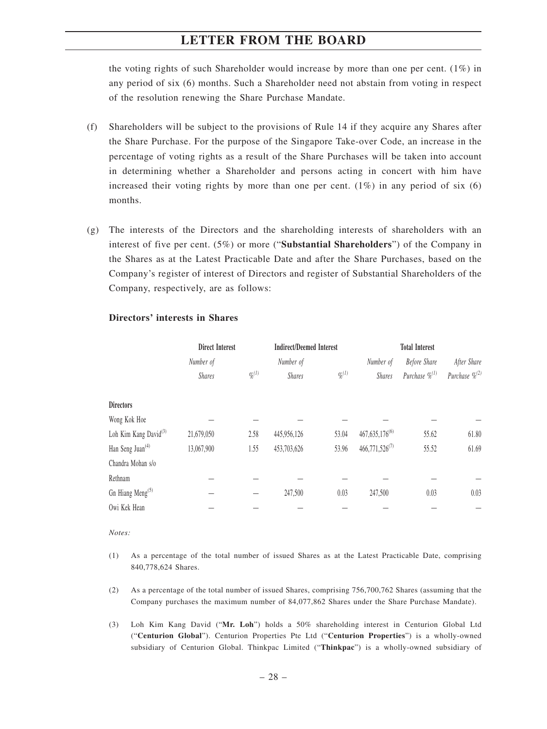the voting rights of such Shareholder would increase by more than one per cent.  $(1\%)$  in any period of six (6) months. Such a Shareholder need not abstain from voting in respect of the resolution renewing the Share Purchase Mandate.

- (f) Shareholders will be subject to the provisions of Rule 14 if they acquire any Shares after the Share Purchase. For the purpose of the Singapore Take-over Code, an increase in the percentage of voting rights as a result of the Share Purchases will be taken into account in determining whether a Shareholder and persons acting in concert with him have increased their voting rights by more than one per cent.  $(1\%)$  in any period of six  $(6)$ months.
- (g) The interests of the Directors and the shareholding interests of shareholders with an interest of five per cent. (5%) or more ("**Substantial Shareholders**") of the Company in the Shares as at the Latest Practicable Date and after the Share Purchases, based on the Company's register of interest of Directors and register of Substantial Shareholders of the Company, respectively, are as follows:

|                                   | <b>Direct Interest</b> |                       | <b>Indirect/Deemed Interest</b> |                       |                     | <b>Total Interest</b> |                     |
|-----------------------------------|------------------------|-----------------------|---------------------------------|-----------------------|---------------------|-----------------------|---------------------|
|                                   | Number of              |                       | Number of                       |                       | Number of           | Before Share          | After Share         |
|                                   | <b>Shares</b>          | $\mathcal{G}_0^{(1)}$ | <b>Shares</b>                   | $\mathcal{G}_0^{(1)}$ | <b>Shares</b>       | Purchase $\%^{(1)}$   | Purchase $\%^{(2)}$ |
| <b>Directors</b>                  |                        |                       |                                 |                       |                     |                       |                     |
| Wong Kok Hoe                      |                        |                       |                                 |                       |                     |                       |                     |
| Loh Kim Kang David <sup>(3)</sup> | 21,679,050             | 2.58                  | 445,956,126                     | 53.04                 | $467,635,176^{(6)}$ | 55.62                 | 61.80               |
| Han Seng Juan <sup>(4)</sup>      | 13,067,900             | 1.55                  | 453,703,626                     | 53.96                 | $466,771,526^{(7)}$ | 55.52                 | 61.69               |
| Chandra Mohan s/o                 |                        |                       |                                 |                       |                     |                       |                     |
| Rethnam                           |                        |                       |                                 |                       |                     |                       |                     |
| Gn Hiang Meng <sup>(5)</sup>      |                        |                       | 247,500                         | 0.03                  | 247,500             | 0.03                  | 0.03                |
| Owi Kek Hean                      |                        |                       |                                 |                       |                     |                       |                     |

#### **Directors' interests in Shares**

*Notes:*

- (1) As a percentage of the total number of issued Shares as at the Latest Practicable Date, comprising 840,778,624 Shares.
- (2) As a percentage of the total number of issued Shares, comprising 756,700,762 Shares (assuming that the Company purchases the maximum number of 84,077,862 Shares under the Share Purchase Mandate).
- (3) Loh Kim Kang David ("**Mr. Loh**") holds a 50% shareholding interest in Centurion Global Ltd ("**Centurion Global**"). Centurion Properties Pte Ltd ("**Centurion Properties**") is a wholly-owned subsidiary of Centurion Global. Thinkpac Limited ("**Thinkpac**") is a wholly-owned subsidiary of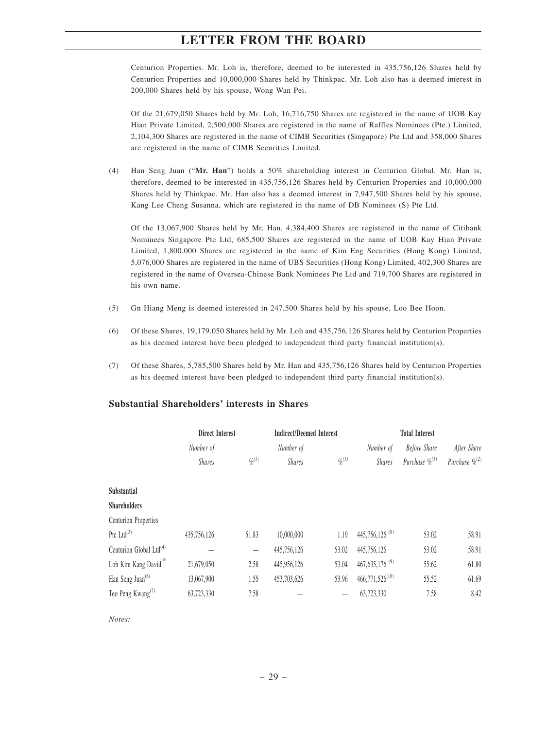Centurion Properties. Mr. Loh is, therefore, deemed to be interested in 435,756,126 Shares held by Centurion Properties and 10,000,000 Shares held by Thinkpac. Mr. Loh also has a deemed interest in 200,000 Shares held by his spouse, Wong Wan Pei.

Of the 21,679,050 Shares held by Mr. Loh, 16,716,750 Shares are registered in the name of UOB Kay Hian Private Limited, 2,500,000 Shares are registered in the name of Raffles Nominees (Pte.) Limited, 2,104,300 Shares are registered in the name of CIMB Securities (Singapore) Pte Ltd and 358,000 Shares are registered in the name of CIMB Securities Limited.

(4) Han Seng Juan ("**Mr. Han**") holds a 50% shareholding interest in Centurion Global. Mr. Han is, therefore, deemed to be interested in 435,756,126 Shares held by Centurion Properties and 10,000,000 Shares held by Thinkpac. Mr. Han also has a deemed interest in 7,947,500 Shares held by his spouse, Kang Lee Cheng Susanna, which are registered in the name of DB Nominees (S) Pte Ltd.

Of the 13,067,900 Shares held by Mr. Han, 4,384,400 Shares are registered in the name of Citibank Nominees Singapore Pte Ltd, 685,500 Shares are registered in the name of UOB Kay Hian Private Limited, 1,800,000 Shares are registered in the name of Kim Eng Securities (Hong Kong) Limited, 5,076,000 Shares are registered in the name of UBS Securities (Hong Kong) Limited, 402,300 Shares are registered in the name of Oversea-Chinese Bank Nominees Pte Ltd and 719,700 Shares are registered in his own name.

- (5) Gn Hiang Meng is deemed interested in 247,500 Shares held by his spouse, Loo Bee Hoon.
- (6) Of these Shares, 19,179,050 Shares held by Mr. Loh and 435,756,126 Shares held by Centurion Properties as his deemed interest have been pledged to independent third party financial institution(s).
- (7) Of these Shares, 5,785,500 Shares held by Mr. Han and 435,756,126 Shares held by Centurion Properties as his deemed interest have been pledged to independent third party financial institution(s).

|                                     | <b>Direct Interest</b> |                          | <b>Indirect/Deemed Interest</b> |                       |                              | <b>Total Interest</b> |                     |
|-------------------------------------|------------------------|--------------------------|---------------------------------|-----------------------|------------------------------|-----------------------|---------------------|
|                                     | Number of              |                          | Number of                       |                       | Number of                    | Before Share          | After Share         |
|                                     | <b>Shares</b>          | $\mathcal{G}_0^{(1)}$    | <b>Shares</b>                   | $\mathcal{G}_0^{(1)}$ | <b>Shares</b>                | Purchase $\%^{(1)}$   | Purchase $\%^{(2)}$ |
|                                     |                        |                          |                                 |                       |                              |                       |                     |
| Substantial                         |                        |                          |                                 |                       |                              |                       |                     |
| <b>Shareholders</b>                 |                        |                          |                                 |                       |                              |                       |                     |
| Centurion Properties                |                        |                          |                                 |                       |                              |                       |                     |
| Pte $Ltd^{(3)}$                     | 435,756,126            | 51.83                    | 10,000,000                      | 1.19                  | 445,756,126 <sup>(8)</sup>   | 53.02                 | 58.91               |
| Centurion Global Ltd <sup>(4)</sup> |                        | $\overline{\phantom{m}}$ | 445,756,126                     | 53.02                 | 445,756,126                  | 53.02                 | 58.91               |
| Loh Kim Kang David <sup>(5)</sup>   | 21,679,050             | 2.58                     | 445,956,126                     | 53.04                 | $467,635,176$ <sup>(9)</sup> | 55.62                 | 61.80               |
| Han Seng Juan <sup>(6)</sup>        | 13,067,900             | 1.55                     | 453,703,626                     | 53.96                 | $466,771,526^{(10)}$         | 55,52                 | 61.69               |
| Teo Peng Kwang <sup>(7)</sup>       | 63,723,330             | 7.58                     |                                 |                       | 63,723,330                   | 7.58                  | 8.42                |

#### **Substantial Shareholders' interests in Shares**

*Notes:*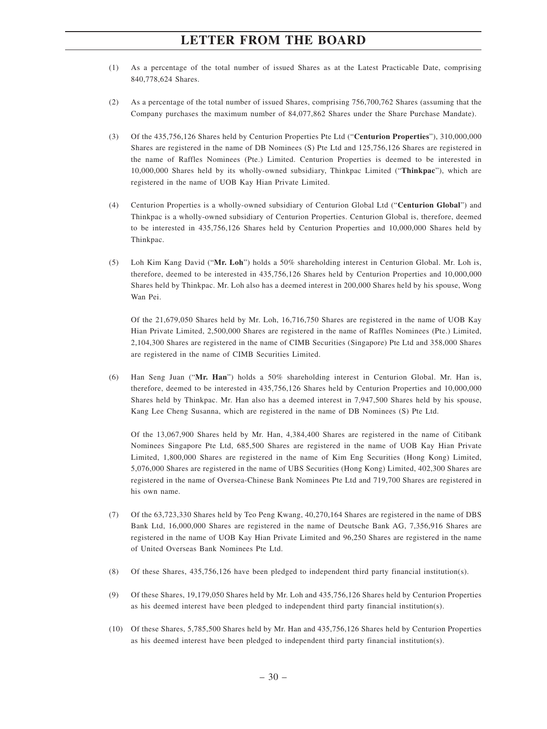- (1) As a percentage of the total number of issued Shares as at the Latest Practicable Date, comprising 840,778,624 Shares.
- (2) As a percentage of the total number of issued Shares, comprising 756,700,762 Shares (assuming that the Company purchases the maximum number of 84,077,862 Shares under the Share Purchase Mandate).
- (3) Of the 435,756,126 Shares held by Centurion Properties Pte Ltd ("**Centurion Properties**"), 310,000,000 Shares are registered in the name of DB Nominees (S) Pte Ltd and 125,756,126 Shares are registered in the name of Raffles Nominees (Pte.) Limited. Centurion Properties is deemed to be interested in 10,000,000 Shares held by its wholly-owned subsidiary, Thinkpac Limited ("**Thinkpac**"), which are registered in the name of UOB Kay Hian Private Limited.
- (4) Centurion Properties is a wholly-owned subsidiary of Centurion Global Ltd ("**Centurion Global**") and Thinkpac is a wholly-owned subsidiary of Centurion Properties. Centurion Global is, therefore, deemed to be interested in 435,756,126 Shares held by Centurion Properties and 10,000,000 Shares held by Thinkpac.
- (5) Loh Kim Kang David ("**Mr. Loh**") holds a 50% shareholding interest in Centurion Global. Mr. Loh is, therefore, deemed to be interested in 435,756,126 Shares held by Centurion Properties and 10,000,000 Shares held by Thinkpac. Mr. Loh also has a deemed interest in 200,000 Shares held by his spouse, Wong Wan Pei.

Of the 21,679,050 Shares held by Mr. Loh, 16,716,750 Shares are registered in the name of UOB Kay Hian Private Limited, 2,500,000 Shares are registered in the name of Raffles Nominees (Pte.) Limited, 2,104,300 Shares are registered in the name of CIMB Securities (Singapore) Pte Ltd and 358,000 Shares are registered in the name of CIMB Securities Limited.

(6) Han Seng Juan ("**Mr. Han**") holds a 50% shareholding interest in Centurion Global. Mr. Han is, therefore, deemed to be interested in 435,756,126 Shares held by Centurion Properties and 10,000,000 Shares held by Thinkpac. Mr. Han also has a deemed interest in 7,947,500 Shares held by his spouse, Kang Lee Cheng Susanna, which are registered in the name of DB Nominees (S) Pte Ltd.

Of the 13,067,900 Shares held by Mr. Han, 4,384,400 Shares are registered in the name of Citibank Nominees Singapore Pte Ltd, 685,500 Shares are registered in the name of UOB Kay Hian Private Limited, 1,800,000 Shares are registered in the name of Kim Eng Securities (Hong Kong) Limited, 5,076,000 Shares are registered in the name of UBS Securities (Hong Kong) Limited, 402,300 Shares are registered in the name of Oversea-Chinese Bank Nominees Pte Ltd and 719,700 Shares are registered in his own name.

- (7) Of the 63,723,330 Shares held by Teo Peng Kwang, 40,270,164 Shares are registered in the name of DBS Bank Ltd, 16,000,000 Shares are registered in the name of Deutsche Bank AG, 7,356,916 Shares are registered in the name of UOB Kay Hian Private Limited and 96,250 Shares are registered in the name of United Overseas Bank Nominees Pte Ltd.
- (8) Of these Shares, 435,756,126 have been pledged to independent third party financial institution(s).
- (9) Of these Shares, 19,179,050 Shares held by Mr. Loh and 435,756,126 Shares held by Centurion Properties as his deemed interest have been pledged to independent third party financial institution(s).
- (10) Of these Shares, 5,785,500 Shares held by Mr. Han and 435,756,126 Shares held by Centurion Properties as his deemed interest have been pledged to independent third party financial institution(s).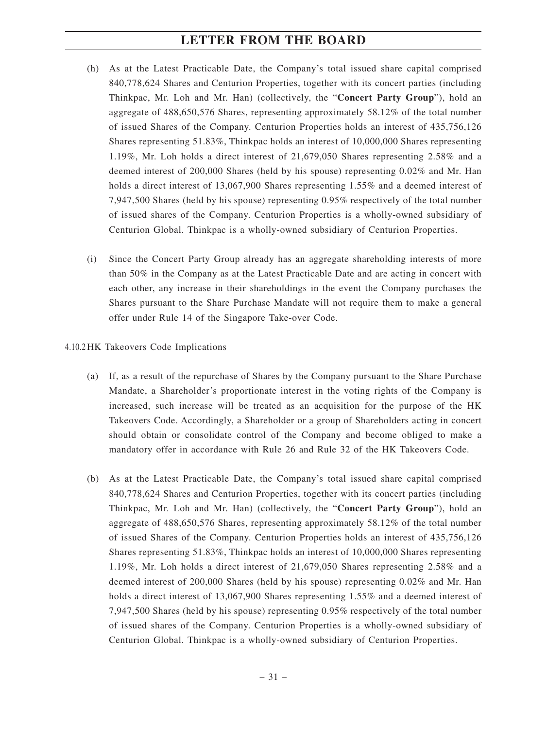- (h) As at the Latest Practicable Date, the Company's total issued share capital comprised 840,778,624 Shares and Centurion Properties, together with its concert parties (including Thinkpac, Mr. Loh and Mr. Han) (collectively, the "**Concert Party Group**"), hold an aggregate of 488,650,576 Shares, representing approximately 58.12% of the total number of issued Shares of the Company. Centurion Properties holds an interest of 435,756,126 Shares representing 51.83%, Thinkpac holds an interest of 10,000,000 Shares representing 1.19%, Mr. Loh holds a direct interest of 21,679,050 Shares representing 2.58% and a deemed interest of 200,000 Shares (held by his spouse) representing 0.02% and Mr. Han holds a direct interest of 13,067,900 Shares representing 1.55% and a deemed interest of 7,947,500 Shares (held by his spouse) representing 0.95% respectively of the total number of issued shares of the Company. Centurion Properties is a wholly-owned subsidiary of Centurion Global. Thinkpac is a wholly-owned subsidiary of Centurion Properties.
- (i) Since the Concert Party Group already has an aggregate shareholding interests of more than 50% in the Company as at the Latest Practicable Date and are acting in concert with each other, any increase in their shareholdings in the event the Company purchases the Shares pursuant to the Share Purchase Mandate will not require them to make a general offer under Rule 14 of the Singapore Take-over Code.

#### 4.10.2 HK Takeovers Code Implications

- (a) If, as a result of the repurchase of Shares by the Company pursuant to the Share Purchase Mandate, a Shareholder's proportionate interest in the voting rights of the Company is increased, such increase will be treated as an acquisition for the purpose of the HK Takeovers Code. Accordingly, a Shareholder or a group of Shareholders acting in concert should obtain or consolidate control of the Company and become obliged to make a mandatory offer in accordance with Rule 26 and Rule 32 of the HK Takeovers Code.
- (b) As at the Latest Practicable Date, the Company's total issued share capital comprised 840,778,624 Shares and Centurion Properties, together with its concert parties (including Thinkpac, Mr. Loh and Mr. Han) (collectively, the "**Concert Party Group**"), hold an aggregate of 488,650,576 Shares, representing approximately 58.12% of the total number of issued Shares of the Company. Centurion Properties holds an interest of 435,756,126 Shares representing 51.83%, Thinkpac holds an interest of 10,000,000 Shares representing 1.19%, Mr. Loh holds a direct interest of 21,679,050 Shares representing 2.58% and a deemed interest of 200,000 Shares (held by his spouse) representing 0.02% and Mr. Han holds a direct interest of 13,067,900 Shares representing 1.55% and a deemed interest of 7,947,500 Shares (held by his spouse) representing 0.95% respectively of the total number of issued shares of the Company. Centurion Properties is a wholly-owned subsidiary of Centurion Global. Thinkpac is a wholly-owned subsidiary of Centurion Properties.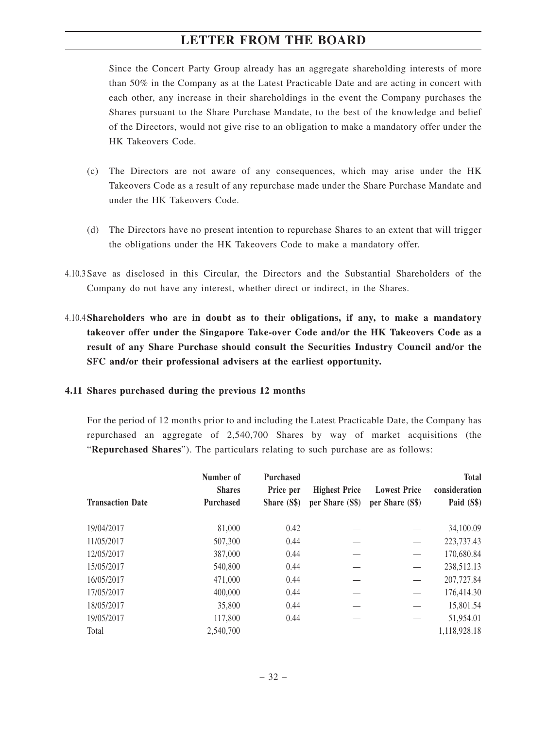Since the Concert Party Group already has an aggregate shareholding interests of more than 50% in the Company as at the Latest Practicable Date and are acting in concert with each other, any increase in their shareholdings in the event the Company purchases the Shares pursuant to the Share Purchase Mandate, to the best of the knowledge and belief of the Directors, would not give rise to an obligation to make a mandatory offer under the HK Takeovers Code.

- (c) The Directors are not aware of any consequences, which may arise under the HK Takeovers Code as a result of any repurchase made under the Share Purchase Mandate and under the HK Takeovers Code.
- (d) The Directors have no present intention to repurchase Shares to an extent that will trigger the obligations under the HK Takeovers Code to make a mandatory offer.
- 4.10.3 Save as disclosed in this Circular, the Directors and the Substantial Shareholders of the Company do not have any interest, whether direct or indirect, in the Shares.
- 4.10.4 **Shareholders who are in doubt as to their obligations, if any, to make a mandatory takeover offer under the Singapore Take-over Code and/or the HK Takeovers Code as a result of any Share Purchase should consult the Securities Industry Council and/or the SFC and/or their professional advisers at the earliest opportunity.**

#### **4.11 Shares purchased during the previous 12 months**

For the period of 12 months prior to and including the Latest Practicable Date, the Company has repurchased an aggregate of 2,540,700 Shares by way of market acquisitions (the "**Repurchased Shares**"). The particulars relating to such purchase are as follows:

| <b>Transaction Date</b> | Number of<br><b>Shares</b><br><b>Purchased</b> | <b>Purchased</b><br>Price per<br>Share (S\$) | <b>Highest Price</b><br>per Share (S\$) | <b>Lowest Price</b><br>per Share (S\$) | <b>Total</b><br>consideration<br>Paid (S\$) |
|-------------------------|------------------------------------------------|----------------------------------------------|-----------------------------------------|----------------------------------------|---------------------------------------------|
| 19/04/2017              | 81,000                                         | 0.42                                         |                                         |                                        | 34,100.09                                   |
| 11/05/2017              | 507,300                                        | 0.44                                         |                                         |                                        | 223,737.43                                  |
| 12/05/2017              | 387,000                                        | 0.44                                         |                                         |                                        | 170,680.84                                  |
| 15/05/2017              | 540,800                                        | 0.44                                         |                                         |                                        | 238,512.13                                  |
| 16/05/2017              | 471,000                                        | 0.44                                         |                                         |                                        | 207,727.84                                  |
| 17/05/2017              | 400,000                                        | 0.44                                         |                                         |                                        | 176,414.30                                  |
| 18/05/2017              | 35,800                                         | 0.44                                         |                                         |                                        | 15,801.54                                   |
| 19/05/2017              | 117,800                                        | 0.44                                         |                                         |                                        | 51,954.01                                   |
| Total                   | 2,540,700                                      |                                              |                                         |                                        | 1,118,928.18                                |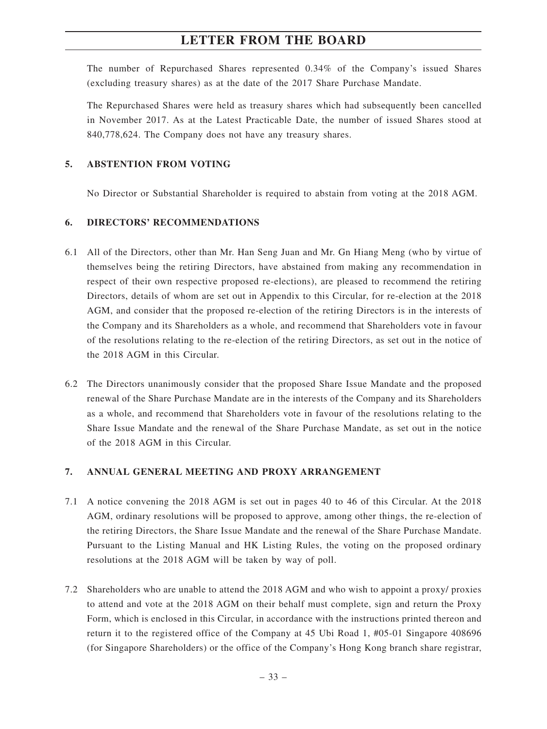The number of Repurchased Shares represented 0.34% of the Company's issued Shares (excluding treasury shares) as at the date of the 2017 Share Purchase Mandate.

The Repurchased Shares were held as treasury shares which had subsequently been cancelled in November 2017. As at the Latest Practicable Date, the number of issued Shares stood at 840,778,624. The Company does not have any treasury shares.

#### **5. ABSTENTION FROM VOTING**

No Director or Substantial Shareholder is required to abstain from voting at the 2018 AGM.

### **6. DIRECTORS' RECOMMENDATIONS**

- 6.1 All of the Directors, other than Mr. Han Seng Juan and Mr. Gn Hiang Meng (who by virtue of themselves being the retiring Directors, have abstained from making any recommendation in respect of their own respective proposed re-elections), are pleased to recommend the retiring Directors, details of whom are set out in Appendix to this Circular, for re-election at the 2018 AGM, and consider that the proposed re-election of the retiring Directors is in the interests of the Company and its Shareholders as a whole, and recommend that Shareholders vote in favour of the resolutions relating to the re-election of the retiring Directors, as set out in the notice of the 2018 AGM in this Circular.
- 6.2 The Directors unanimously consider that the proposed Share Issue Mandate and the proposed renewal of the Share Purchase Mandate are in the interests of the Company and its Shareholders as a whole, and recommend that Shareholders vote in favour of the resolutions relating to the Share Issue Mandate and the renewal of the Share Purchase Mandate, as set out in the notice of the 2018 AGM in this Circular.

#### **7. ANNUAL GENERAL MEETING AND PROXY ARRANGEMENT**

- 7.1 A notice convening the 2018 AGM is set out in pages 40 to 46 of this Circular. At the 2018 AGM, ordinary resolutions will be proposed to approve, among other things, the re-election of the retiring Directors, the Share Issue Mandate and the renewal of the Share Purchase Mandate. Pursuant to the Listing Manual and HK Listing Rules, the voting on the proposed ordinary resolutions at the 2018 AGM will be taken by way of poll.
- 7.2 Shareholders who are unable to attend the 2018 AGM and who wish to appoint a proxy/ proxies to attend and vote at the 2018 AGM on their behalf must complete, sign and return the Proxy Form, which is enclosed in this Circular, in accordance with the instructions printed thereon and return it to the registered office of the Company at 45 Ubi Road 1, #05-01 Singapore 408696 (for Singapore Shareholders) or the office of the Company's Hong Kong branch share registrar,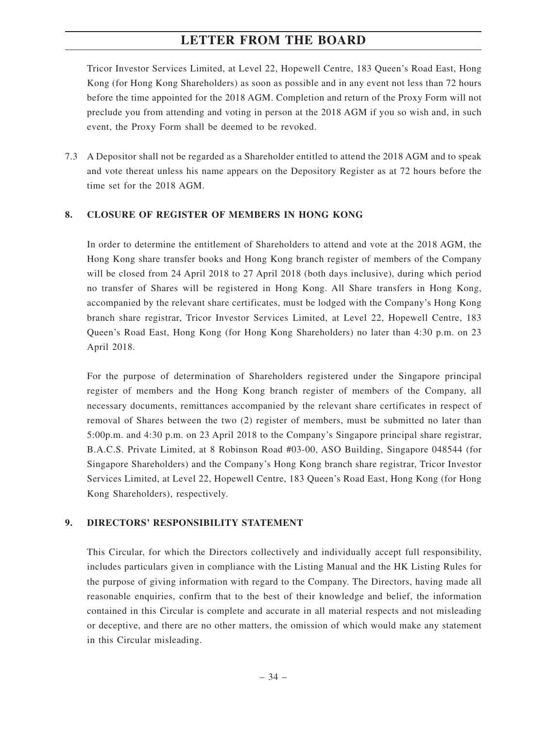Tricor Investor Services Limited, at Level 22, Hopewell Centre, 183 Queen's Road East, Hong Kong (for Hong Kong Shareholders) as soon as possible and in any event not less than 72 hours before the time appointed for the 2018 AGM. Completion and return of the Proxy Form will not preclude you from attending and voting in person at the 2018 AGM if you so wish and, in such event, the Proxy Form shall be deemed to be revoked.

7.3 A Depositor shall not be regarded as a Shareholder entitled to attend the 2018 AGM and to speak and vote thereat unless his name appears on the Depository Register as at 72 hours before the time set for the 2018 AGM.

#### **8. CLOSURE OF REGISTER OF MEMBERS IN HONG KONG**

In order to determine the entitlement of Shareholders to attend and vote at the 2018 AGM, the Hong Kong share transfer books and Hong Kong branch register of members of the Company will be closed from 24 April 2018 to 27 April 2018 (both days inclusive), during which period no transfer of Shares will be registered in Hong Kong. All Share transfers in Hong Kong, accompanied by the relevant share certificates, must be lodged with the Company's Hong Kong branch share registrar, Tricor Investor Services Limited, at Level 22, Hopewell Centre, 183 Queen's Road East, Hong Kong (for Hong Kong Shareholders) no later than 4:30 p.m. on 23 April 2018.

For the purpose of determination of Shareholders registered under the Singapore principal register of members and the Hong Kong branch register of members of the Company, all necessary documents, remittances accompanied by the relevant share certificates in respect of removal of Shares between the two (2) register of members, must be submitted no later than 5:00p.m. and 4:30 p.m. on 23 April 2018 to the Company's Singapore principal share registrar, B.A.C.S. Private Limited, at 8 Robinson Road #03-00, ASO Building, Singapore 048544 (for Singapore Shareholders) and the Company's Hong Kong branch share registrar, Tricor Investor Services Limited, at Level 22, Hopewell Centre, 183 Queen's Road East, Hong Kong (for Hong Kong Shareholders), respectively.

#### **9. DIRECTORS' RESPONSIBILITY STATEMENT**

This Circular, for which the Directors collectively and individually accept full responsibility, includes particulars given in compliance with the Listing Manual and the HK Listing Rules for the purpose of giving information with regard to the Company. The Directors, having made all reasonable enquiries, confirm that to the best of their knowledge and belief, the information contained in this Circular is complete and accurate in all material respects and not misleading or deceptive, and there are no other matters, the omission of which would make any statement in this Circular misleading.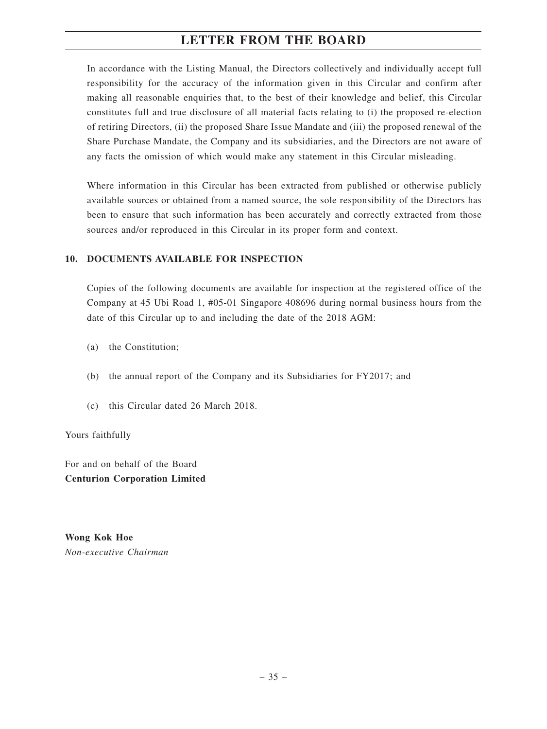In accordance with the Listing Manual, the Directors collectively and individually accept full responsibility for the accuracy of the information given in this Circular and confirm after making all reasonable enquiries that, to the best of their knowledge and belief, this Circular constitutes full and true disclosure of all material facts relating to (i) the proposed re-election of retiring Directors, (ii) the proposed Share Issue Mandate and (iii) the proposed renewal of the Share Purchase Mandate, the Company and its subsidiaries, and the Directors are not aware of any facts the omission of which would make any statement in this Circular misleading.

Where information in this Circular has been extracted from published or otherwise publicly available sources or obtained from a named source, the sole responsibility of the Directors has been to ensure that such information has been accurately and correctly extracted from those sources and/or reproduced in this Circular in its proper form and context.

### **10. DOCUMENTS AVAILABLE FOR INSPECTION**

Copies of the following documents are available for inspection at the registered office of the Company at 45 Ubi Road 1, #05-01 Singapore 408696 during normal business hours from the date of this Circular up to and including the date of the 2018 AGM:

- (a) the Constitution;
- (b) the annual report of the Company and its Subsidiaries for FY2017; and
- (c) this Circular dated 26 March 2018.

Yours faithfully

For and on behalf of the Board **Centurion Corporation Limited**

**Wong Kok Hoe** *Non-executive Chairman*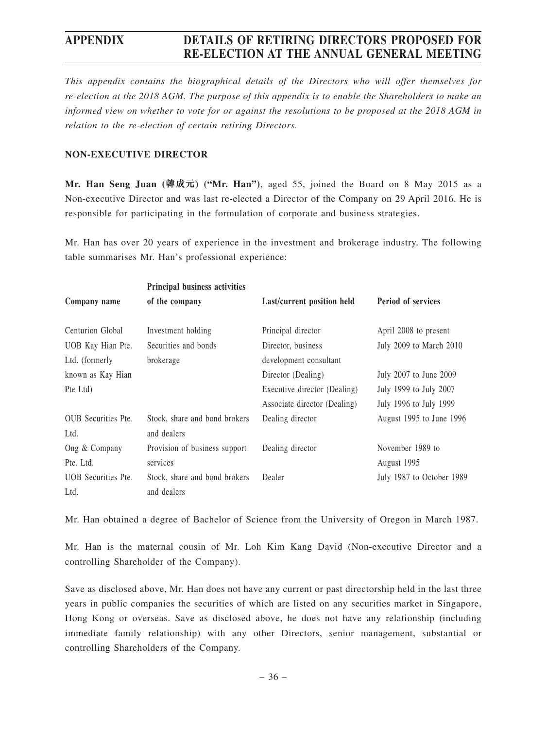*This appendix contains the biographical details of the Directors who will offer themselves for re-election at the 2018 AGM. The purpose of this appendix is to enable the Shareholders to make an informed view on whether to vote for or against the resolutions to be proposed at the 2018 AGM in relation to the re-election of certain retiring Directors.*

#### **NON-EXECUTIVE DIRECTOR**

**Mr. Han Seng Juan (韓成元) ("Mr. Han")**, aged 55, joined the Board on 8 May 2015 as a Non-executive Director and was last re-elected a Director of the Company on 29 April 2016. He is responsible for participating in the formulation of corporate and business strategies.

Mr. Han has over 20 years of experience in the investment and brokerage industry. The following table summarises Mr. Han's professional experience:

|                            | Principal business activities |                              |                           |
|----------------------------|-------------------------------|------------------------------|---------------------------|
| Company name               | of the company                | Last/current position held   | <b>Period of services</b> |
| Centurion Global           | Investment holding            | Principal director           | April 2008 to present     |
| UOB Kay Hian Pte.          | Securities and bonds          | Director, business           | July 2009 to March 2010   |
| Ltd. (formerly             | brokerage                     | development consultant       |                           |
| known as Kay Hian          |                               | Director (Dealing)           | July 2007 to June 2009    |
| Pte Ltd)                   |                               | Executive director (Dealing) | July 1999 to July 2007    |
|                            |                               | Associate director (Dealing) | July 1996 to July 1999    |
| <b>OUB</b> Securities Pte. | Stock, share and bond brokers | Dealing director             | August 1995 to June 1996  |
| Ltd.                       | and dealers                   |                              |                           |
| Ong & Company              | Provision of business support | Dealing director             | November 1989 to          |
| Pte. Ltd.                  | services                      |                              | August 1995               |
| <b>UOB</b> Securities Pte. | Stock, share and bond brokers | Dealer                       | July 1987 to October 1989 |
| Ltd.                       | and dealers                   |                              |                           |

Mr. Han obtained a degree of Bachelor of Science from the University of Oregon in March 1987.

Mr. Han is the maternal cousin of Mr. Loh Kim Kang David (Non-executive Director and a controlling Shareholder of the Company).

Save as disclosed above, Mr. Han does not have any current or past directorship held in the last three years in public companies the securities of which are listed on any securities market in Singapore, Hong Kong or overseas. Save as disclosed above, he does not have any relationship (including immediate family relationship) with any other Directors, senior management, substantial or controlling Shareholders of the Company.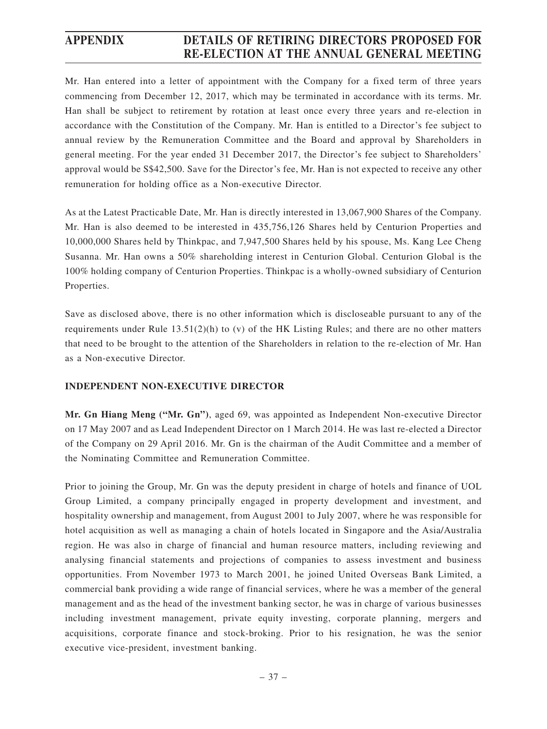Mr. Han entered into a letter of appointment with the Company for a fixed term of three years commencing from December 12, 2017, which may be terminated in accordance with its terms. Mr. Han shall be subject to retirement by rotation at least once every three years and re-election in accordance with the Constitution of the Company. Mr. Han is entitled to a Director's fee subject to annual review by the Remuneration Committee and the Board and approval by Shareholders in general meeting. For the year ended 31 December 2017, the Director's fee subject to Shareholders' approval would be S\$42,500. Save for the Director's fee, Mr. Han is not expected to receive any other remuneration for holding office as a Non-executive Director.

As at the Latest Practicable Date, Mr. Han is directly interested in 13,067,900 Shares of the Company. Mr. Han is also deemed to be interested in 435,756,126 Shares held by Centurion Properties and 10,000,000 Shares held by Thinkpac, and 7,947,500 Shares held by his spouse, Ms. Kang Lee Cheng Susanna. Mr. Han owns a 50% shareholding interest in Centurion Global. Centurion Global is the 100% holding company of Centurion Properties. Thinkpac is a wholly-owned subsidiary of Centurion Properties.

Save as disclosed above, there is no other information which is discloseable pursuant to any of the requirements under Rule 13.51(2)(h) to (v) of the HK Listing Rules; and there are no other matters that need to be brought to the attention of the Shareholders in relation to the re-election of Mr. Han as a Non-executive Director.

### **INDEPENDENT NON-EXECUTIVE DIRECTOR**

**Mr. Gn Hiang Meng ("Mr. Gn")**, aged 69, was appointed as Independent Non-executive Director on 17 May 2007 and as Lead Independent Director on 1 March 2014. He was last re-elected a Director of the Company on 29 April 2016. Mr. Gn is the chairman of the Audit Committee and a member of the Nominating Committee and Remuneration Committee.

Prior to joining the Group, Mr. Gn was the deputy president in charge of hotels and finance of UOL Group Limited, a company principally engaged in property development and investment, and hospitality ownership and management, from August 2001 to July 2007, where he was responsible for hotel acquisition as well as managing a chain of hotels located in Singapore and the Asia/Australia region. He was also in charge of financial and human resource matters, including reviewing and analysing financial statements and projections of companies to assess investment and business opportunities. From November 1973 to March 2001, he joined United Overseas Bank Limited, a commercial bank providing a wide range of financial services, where he was a member of the general management and as the head of the investment banking sector, he was in charge of various businesses including investment management, private equity investing, corporate planning, mergers and acquisitions, corporate finance and stock-broking. Prior to his resignation, he was the senior executive vice-president, investment banking.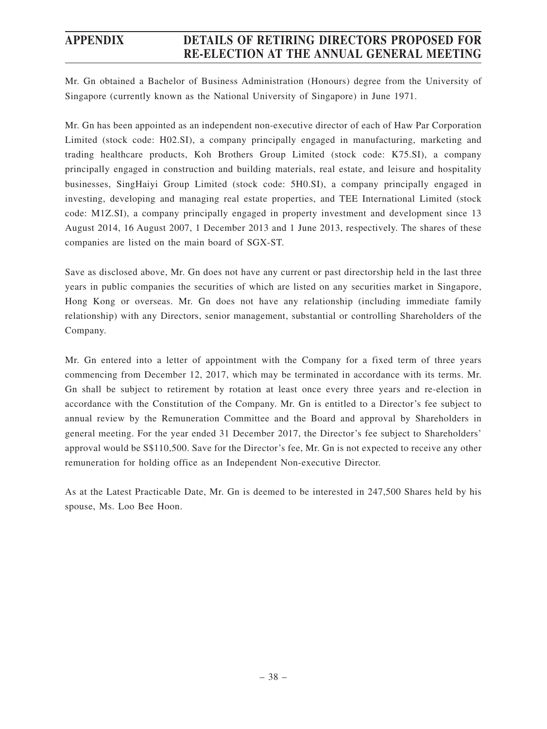Mr. Gn obtained a Bachelor of Business Administration (Honours) degree from the University of Singapore (currently known as the National University of Singapore) in June 1971.

Mr. Gn has been appointed as an independent non-executive director of each of Haw Par Corporation Limited (stock code: H02.SI), a company principally engaged in manufacturing, marketing and trading healthcare products, Koh Brothers Group Limited (stock code: K75.SI), a company principally engaged in construction and building materials, real estate, and leisure and hospitality businesses, SingHaiyi Group Limited (stock code: 5H0.SI), a company principally engaged in investing, developing and managing real estate properties, and TEE International Limited (stock code: M1Z.SI), a company principally engaged in property investment and development since 13 August 2014, 16 August 2007, 1 December 2013 and 1 June 2013, respectively. The shares of these companies are listed on the main board of SGX-ST.

Save as disclosed above, Mr. Gn does not have any current or past directorship held in the last three years in public companies the securities of which are listed on any securities market in Singapore, Hong Kong or overseas. Mr. Gn does not have any relationship (including immediate family relationship) with any Directors, senior management, substantial or controlling Shareholders of the Company.

Mr. Gn entered into a letter of appointment with the Company for a fixed term of three years commencing from December 12, 2017, which may be terminated in accordance with its terms. Mr. Gn shall be subject to retirement by rotation at least once every three years and re-election in accordance with the Constitution of the Company. Mr. Gn is entitled to a Director's fee subject to annual review by the Remuneration Committee and the Board and approval by Shareholders in general meeting. For the year ended 31 December 2017, the Director's fee subject to Shareholders' approval would be S\$110,500. Save for the Director's fee, Mr. Gn is not expected to receive any other remuneration for holding office as an Independent Non-executive Director.

As at the Latest Practicable Date, Mr. Gn is deemed to be interested in 247,500 Shares held by his spouse, Ms. Loo Bee Hoon.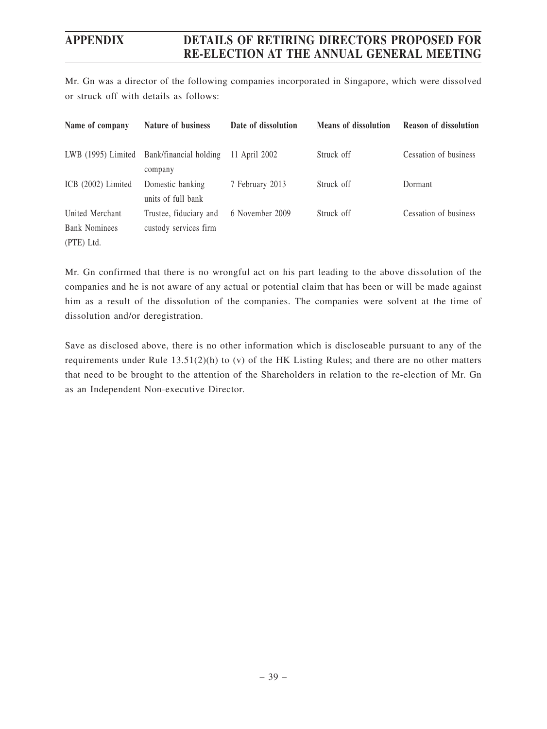Mr. Gn was a director of the following companies incorporated in Singapore, which were dissolved or struck off with details as follows:

| Name of company      | Nature of business                     | Date of dissolution | <b>Means of dissolution</b> | <b>Reason of dissolution</b> |
|----------------------|----------------------------------------|---------------------|-----------------------------|------------------------------|
| $LWB$ (1995) Limited | Bank/financial holding<br>company      | 11 April 2002       | Struck off                  | Cessation of business        |
| ICB $(2002)$ Limited | Domestic banking<br>units of full bank | 7 February 2013     | Struck off                  | Dormant                      |
| United Merchant      | Trustee, fiduciary and                 | 6 November 2009     | Struck off                  | Cessation of business        |
| <b>Bank Nominees</b> | custody services firm                  |                     |                             |                              |
| (PTE) Ltd.           |                                        |                     |                             |                              |

Mr. Gn confirmed that there is no wrongful act on his part leading to the above dissolution of the companies and he is not aware of any actual or potential claim that has been or will be made against him as a result of the dissolution of the companies. The companies were solvent at the time of dissolution and/or deregistration.

Save as disclosed above, there is no other information which is discloseable pursuant to any of the requirements under Rule 13.51(2)(h) to (v) of the HK Listing Rules; and there are no other matters that need to be brought to the attention of the Shareholders in relation to the re-election of Mr. Gn as an Independent Non-executive Director.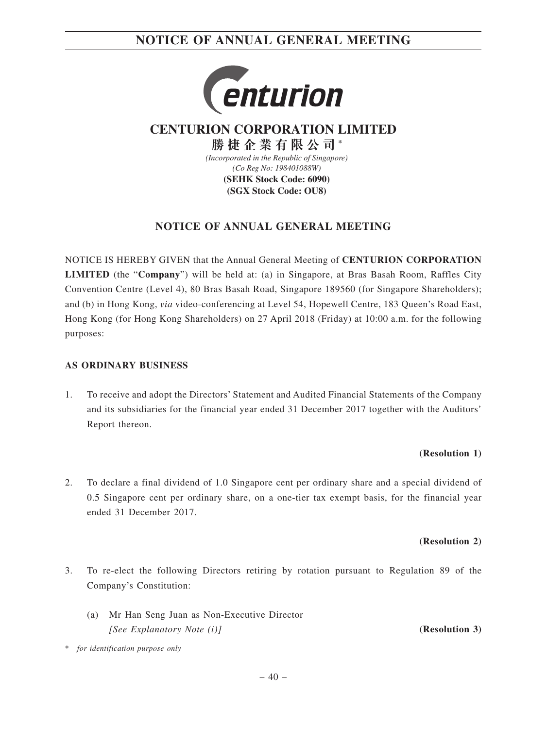

**CENTURION CORPORATION LIMITED**

*(Incorporated in the Republic of Singapore) (Co Reg No: 198401088W)* **(SEHK Stock Code: 6090) (SGX Stock Code: OU8) 勝捷企業有限公司 \***

### **NOTICE OF ANNUAL GENERAL MEETING**

NOTICE IS HEREBY GIVEN that the Annual General Meeting of **CENTURION CORPORATION LIMITED** (the "**Company**") will be held at: (a) in Singapore, at Bras Basah Room, Raffles City Convention Centre (Level 4), 80 Bras Basah Road, Singapore 189560 (for Singapore Shareholders); and (b) in Hong Kong, *via* video-conferencing at Level 54, Hopewell Centre, 183 Queen's Road East, Hong Kong (for Hong Kong Shareholders) on 27 April 2018 (Friday) at 10:00 a.m. for the following purposes:

#### **AS ORDINARY BUSINESS**

1. To receive and adopt the Directors' Statement and Audited Financial Statements of the Company and its subsidiaries for the financial year ended 31 December 2017 together with the Auditors' Report thereon.

#### **(Resolution 1)**

2. To declare a final dividend of 1.0 Singapore cent per ordinary share and a special dividend of 0.5 Singapore cent per ordinary share, on a one-tier tax exempt basis, for the financial year ended 31 December 2017.

#### **(Resolution 2)**

- 3. To re-elect the following Directors retiring by rotation pursuant to Regulation 89 of the Company's Constitution:
	- (a) Mr Han Seng Juan as Non-Executive Director *[See Explanatory Note (i)]* **(Resolution 3)**

\* *for identification purpose only*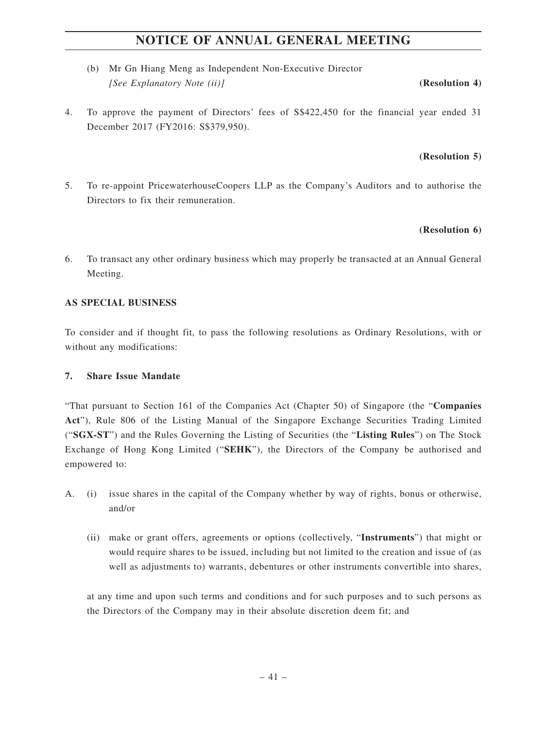- (b) Mr Gn Hiang Meng as Independent Non-Executive Director *[See Explanatory Note (ii)]* **(Resolution 4)**
- 4. To approve the payment of Directors' fees of S\$422,450 for the financial year ended 31 December 2017 (FY2016: S\$379,950).

#### **(Resolution 5)**

5. To re-appoint PricewaterhouseCoopers LLP as the Company's Auditors and to authorise the Directors to fix their remuneration.

#### **(Resolution 6)**

6. To transact any other ordinary business which may properly be transacted at an Annual General Meeting.

#### **AS SPECIAL BUSINESS**

To consider and if thought fit, to pass the following resolutions as Ordinary Resolutions, with or without any modifications:

#### **7. Share Issue Mandate**

"That pursuant to Section 161 of the Companies Act (Chapter 50) of Singapore (the "**Companies Act**"), Rule 806 of the Listing Manual of the Singapore Exchange Securities Trading Limited ("**SGX-ST**") and the Rules Governing the Listing of Securities (the "**Listing Rules**") on The Stock Exchange of Hong Kong Limited ("**SEHK**"), the Directors of the Company be authorised and empowered to:

- A. (i) issue shares in the capital of the Company whether by way of rights, bonus or otherwise, and/or
	- (ii) make or grant offers, agreements or options (collectively, "**Instruments**") that might or would require shares to be issued, including but not limited to the creation and issue of (as well as adjustments to) warrants, debentures or other instruments convertible into shares,

at any time and upon such terms and conditions and for such purposes and to such persons as the Directors of the Company may in their absolute discretion deem fit; and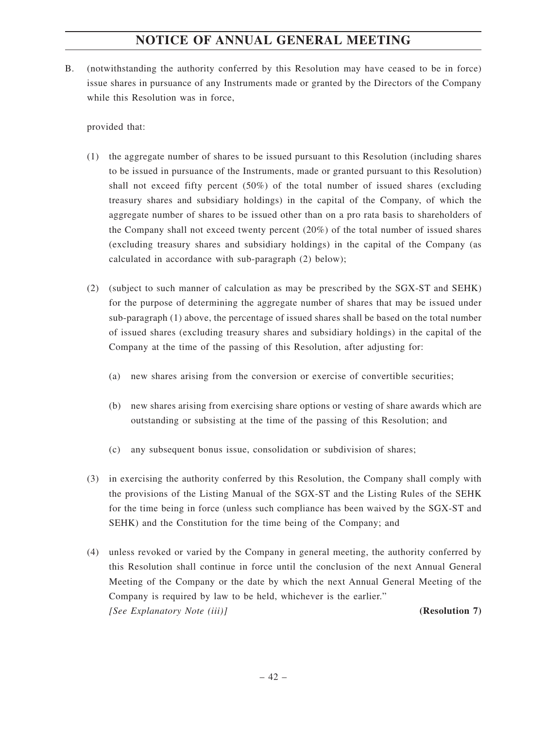B. (notwithstanding the authority conferred by this Resolution may have ceased to be in force) issue shares in pursuance of any Instruments made or granted by the Directors of the Company while this Resolution was in force,

provided that:

- (1) the aggregate number of shares to be issued pursuant to this Resolution (including shares to be issued in pursuance of the Instruments, made or granted pursuant to this Resolution) shall not exceed fifty percent (50%) of the total number of issued shares (excluding treasury shares and subsidiary holdings) in the capital of the Company, of which the aggregate number of shares to be issued other than on a pro rata basis to shareholders of the Company shall not exceed twenty percent (20%) of the total number of issued shares (excluding treasury shares and subsidiary holdings) in the capital of the Company (as calculated in accordance with sub-paragraph (2) below);
- (2) (subject to such manner of calculation as may be prescribed by the SGX-ST and SEHK) for the purpose of determining the aggregate number of shares that may be issued under sub-paragraph (1) above, the percentage of issued shares shall be based on the total number of issued shares (excluding treasury shares and subsidiary holdings) in the capital of the Company at the time of the passing of this Resolution, after adjusting for:
	- (a) new shares arising from the conversion or exercise of convertible securities;
	- (b) new shares arising from exercising share options or vesting of share awards which are outstanding or subsisting at the time of the passing of this Resolution; and
	- (c) any subsequent bonus issue, consolidation or subdivision of shares;
- (3) in exercising the authority conferred by this Resolution, the Company shall comply with the provisions of the Listing Manual of the SGX-ST and the Listing Rules of the SEHK for the time being in force (unless such compliance has been waived by the SGX-ST and SEHK) and the Constitution for the time being of the Company; and
- (4) unless revoked or varied by the Company in general meeting, the authority conferred by this Resolution shall continue in force until the conclusion of the next Annual General Meeting of the Company or the date by which the next Annual General Meeting of the Company is required by law to be held, whichever is the earlier." *[See Explanatory Note (iii)]* **(Resolution 7)**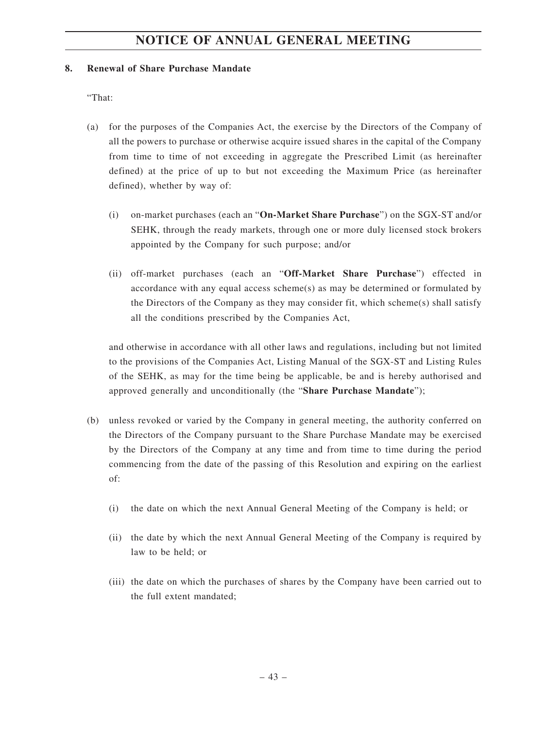#### **8. Renewal of Share Purchase Mandate**

"That:

- (a) for the purposes of the Companies Act, the exercise by the Directors of the Company of all the powers to purchase or otherwise acquire issued shares in the capital of the Company from time to time of not exceeding in aggregate the Prescribed Limit (as hereinafter defined) at the price of up to but not exceeding the Maximum Price (as hereinafter defined), whether by way of:
	- (i) on-market purchases (each an "**On-Market Share Purchase**") on the SGX-ST and/or SEHK, through the ready markets, through one or more duly licensed stock brokers appointed by the Company for such purpose; and/or
	- (ii) off-market purchases (each an "**Off-Market Share Purchase**") effected in accordance with any equal access scheme(s) as may be determined or formulated by the Directors of the Company as they may consider fit, which scheme(s) shall satisfy all the conditions prescribed by the Companies Act,

and otherwise in accordance with all other laws and regulations, including but not limited to the provisions of the Companies Act, Listing Manual of the SGX-ST and Listing Rules of the SEHK, as may for the time being be applicable, be and is hereby authorised and approved generally and unconditionally (the "**Share Purchase Mandate**");

- (b) unless revoked or varied by the Company in general meeting, the authority conferred on the Directors of the Company pursuant to the Share Purchase Mandate may be exercised by the Directors of the Company at any time and from time to time during the period commencing from the date of the passing of this Resolution and expiring on the earliest of:
	- (i) the date on which the next Annual General Meeting of the Company is held; or
	- (ii) the date by which the next Annual General Meeting of the Company is required by law to be held; or
	- (iii) the date on which the purchases of shares by the Company have been carried out to the full extent mandated;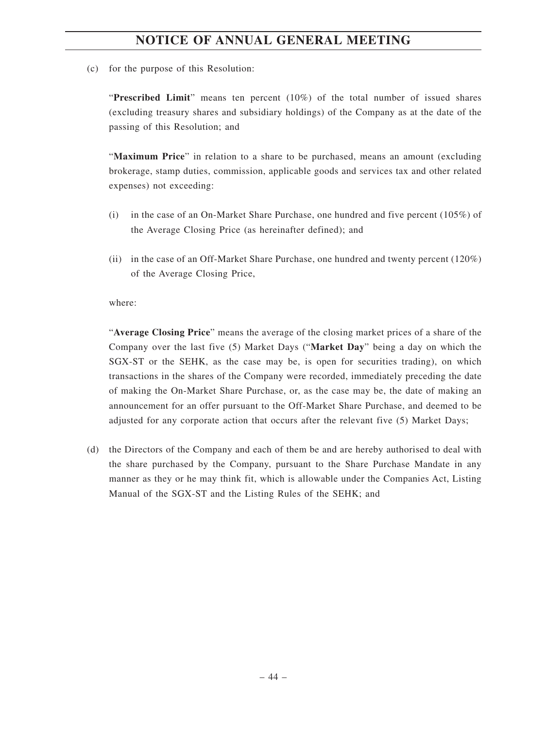(c) for the purpose of this Resolution:

"**Prescribed Limit**" means ten percent (10%) of the total number of issued shares (excluding treasury shares and subsidiary holdings) of the Company as at the date of the passing of this Resolution; and

"**Maximum Price**" in relation to a share to be purchased, means an amount (excluding brokerage, stamp duties, commission, applicable goods and services tax and other related expenses) not exceeding:

- (i) in the case of an On-Market Share Purchase, one hundred and five percent (105%) of the Average Closing Price (as hereinafter defined); and
- (ii) in the case of an Off-Market Share Purchase, one hundred and twenty percent (120%) of the Average Closing Price,

#### where:

"**Average Closing Price**" means the average of the closing market prices of a share of the Company over the last five (5) Market Days ("**Market Day**" being a day on which the SGX-ST or the SEHK, as the case may be, is open for securities trading), on which transactions in the shares of the Company were recorded, immediately preceding the date of making the On-Market Share Purchase, or, as the case may be, the date of making an announcement for an offer pursuant to the Off-Market Share Purchase, and deemed to be adjusted for any corporate action that occurs after the relevant five (5) Market Days;

(d) the Directors of the Company and each of them be and are hereby authorised to deal with the share purchased by the Company, pursuant to the Share Purchase Mandate in any manner as they or he may think fit, which is allowable under the Companies Act, Listing Manual of the SGX-ST and the Listing Rules of the SEHK; and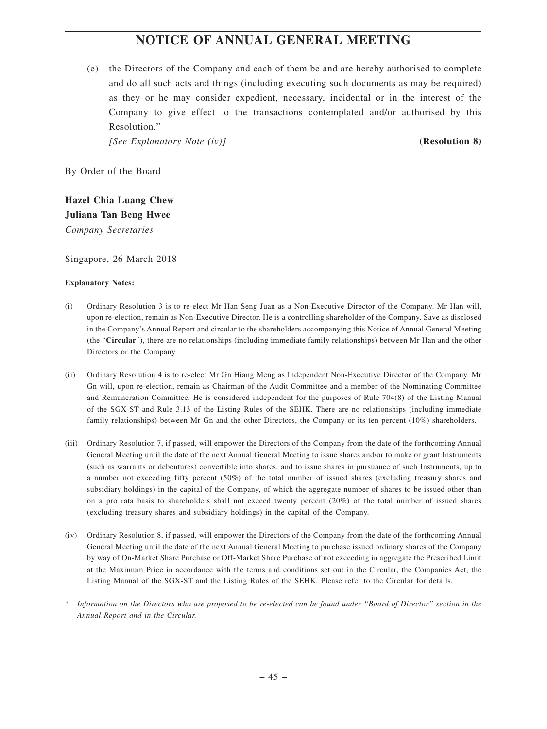(e) the Directors of the Company and each of them be and are hereby authorised to complete and do all such acts and things (including executing such documents as may be required) as they or he may consider expedient, necessary, incidental or in the interest of the Company to give effect to the transactions contemplated and/or authorised by this Resolution."

*[See Explanatory Note (iv)]* **(Resolution 8)**

By Order of the Board

**Hazel Chia Luang Chew Juliana Tan Beng Hwee** *Company Secretaries*

Singapore, 26 March 2018

#### **Explanatory Notes:**

- (i) Ordinary Resolution 3 is to re-elect Mr Han Seng Juan as a Non-Executive Director of the Company. Mr Han will, upon re-election, remain as Non-Executive Director. He is a controlling shareholder of the Company. Save as disclosed in the Company's Annual Report and circular to the shareholders accompanying this Notice of Annual General Meeting (the "**Circular**"), there are no relationships (including immediate family relationships) between Mr Han and the other Directors or the Company.
- (ii) Ordinary Resolution 4 is to re-elect Mr Gn Hiang Meng as Independent Non-Executive Director of the Company. Mr Gn will, upon re-election, remain as Chairman of the Audit Committee and a member of the Nominating Committee and Remuneration Committee. He is considered independent for the purposes of Rule 704(8) of the Listing Manual of the SGX-ST and Rule 3.13 of the Listing Rules of the SEHK. There are no relationships (including immediate family relationships) between Mr Gn and the other Directors, the Company or its ten percent (10%) shareholders.
- (iii) Ordinary Resolution 7, if passed, will empower the Directors of the Company from the date of the forthcoming Annual General Meeting until the date of the next Annual General Meeting to issue shares and/or to make or grant Instruments (such as warrants or debentures) convertible into shares, and to issue shares in pursuance of such Instruments, up to a number not exceeding fifty percent (50%) of the total number of issued shares (excluding treasury shares and subsidiary holdings) in the capital of the Company, of which the aggregate number of shares to be issued other than on a pro rata basis to shareholders shall not exceed twenty percent (20%) of the total number of issued shares (excluding treasury shares and subsidiary holdings) in the capital of the Company.
- (iv) Ordinary Resolution 8, if passed, will empower the Directors of the Company from the date of the forthcoming Annual General Meeting until the date of the next Annual General Meeting to purchase issued ordinary shares of the Company by way of On-Market Share Purchase or Off-Market Share Purchase of not exceeding in aggregate the Prescribed Limit at the Maximum Price in accordance with the terms and conditions set out in the Circular, the Companies Act, the Listing Manual of the SGX-ST and the Listing Rules of the SEHK. Please refer to the Circular for details.
- \* *Information on the Directors who are proposed to be re-elected can be found under "Board of Director" section in the Annual Report and in the Circular.*